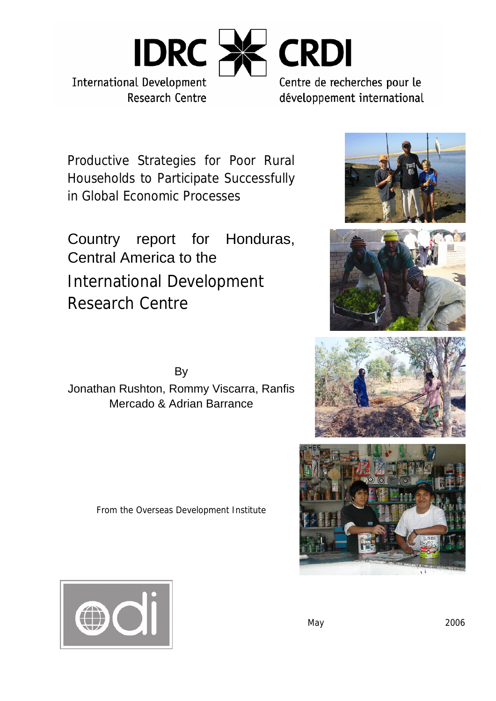

Productive Strategies for Poor Rural Households to Participate Successfully in Global Economic Processes

Country report for Honduras, Central America to the International Development Research Centre

By Jonathan Rushton, Rommy Viscarra, Ranfis Mercado & Adrian Barrance

From the Overseas Development Institute









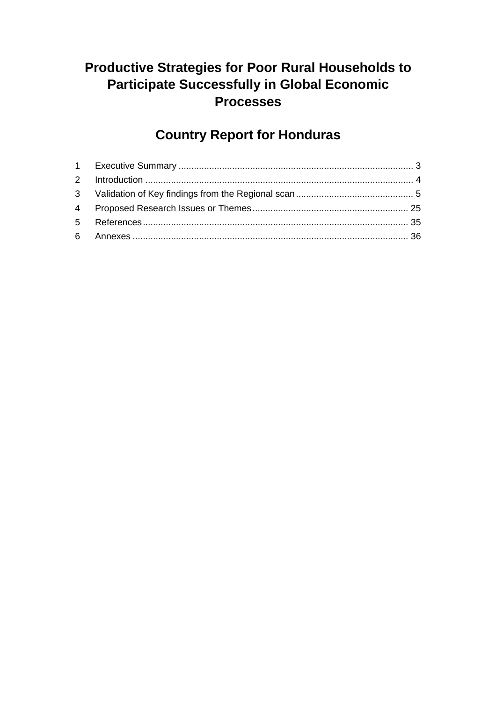# **Productive Strategies for Poor Rural Households to Participate Successfully in Global Economic Processes**

# **Country Report for Honduras**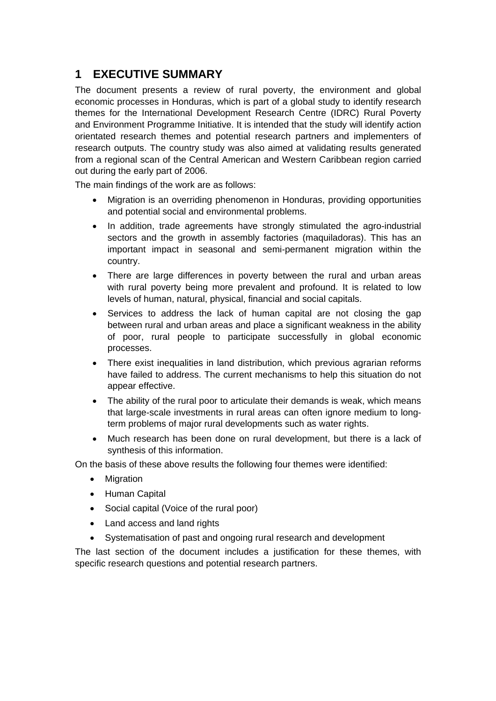# **1 EXECUTIVE SUMMARY**

The document presents a review of rural poverty, the environment and global economic processes in Honduras, which is part of a global study to identify research themes for the International Development Research Centre (IDRC) Rural Poverty and Environment Programme Initiative. It is intended that the study will identify action orientated research themes and potential research partners and implementers of research outputs. The country study was also aimed at validating results generated from a regional scan of the Central American and Western Caribbean region carried out during the early part of 2006.

The main findings of the work are as follows:

- Migration is an overriding phenomenon in Honduras, providing opportunities and potential social and environmental problems.
- In addition, trade agreements have strongly stimulated the agro-industrial sectors and the growth in assembly factories (maquiladoras). This has an important impact in seasonal and semi-permanent migration within the country.
- There are large differences in poverty between the rural and urban areas with rural poverty being more prevalent and profound. It is related to low levels of human, natural, physical, financial and social capitals.
- Services to address the lack of human capital are not closing the gap between rural and urban areas and place a significant weakness in the ability of poor, rural people to participate successfully in global economic processes.
- There exist inequalities in land distribution, which previous agrarian reforms have failed to address. The current mechanisms to help this situation do not appear effective.
- The ability of the rural poor to articulate their demands is weak, which means that large-scale investments in rural areas can often ignore medium to longterm problems of major rural developments such as water rights.
- Much research has been done on rural development, but there is a lack of synthesis of this information.

On the basis of these above results the following four themes were identified:

- Migration
- Human Capital
- Social capital (Voice of the rural poor)
- Land access and land rights
- Systematisation of past and ongoing rural research and development

The last section of the document includes a justification for these themes, with specific research questions and potential research partners.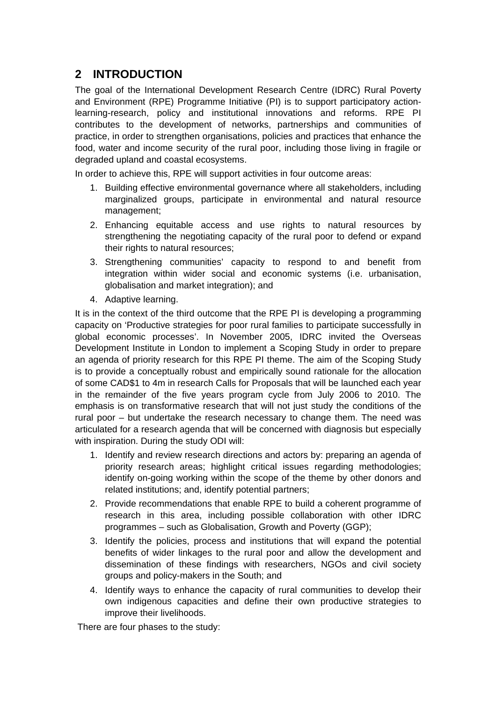# **2 INTRODUCTION**

The goal of the International Development Research Centre (IDRC) Rural Poverty and Environment (RPE) Programme Initiative (PI) is to support participatory actionlearning-research, policy and institutional innovations and reforms. RPE PI contributes to the development of networks, partnerships and communities of practice, in order to strengthen organisations, policies and practices that enhance the food, water and income security of the rural poor, including those living in fragile or degraded upland and coastal ecosystems.

In order to achieve this, RPE will support activities in four outcome areas:

- 1. Building effective environmental governance where all stakeholders, including marginalized groups, participate in environmental and natural resource management;
- 2. Enhancing equitable access and use rights to natural resources by strengthening the negotiating capacity of the rural poor to defend or expand their rights to natural resources;
- 3. Strengthening communities' capacity to respond to and benefit from integration within wider social and economic systems (i.e. urbanisation, globalisation and market integration); and
- 4. Adaptive learning.

It is in the context of the third outcome that the RPE PI is developing a programming capacity on 'Productive strategies for poor rural families to participate successfully in global economic processes'. In November 2005, IDRC invited the Overseas Development Institute in London to implement a Scoping Study in order to prepare an agenda of priority research for this RPE PI theme. The aim of the Scoping Study is to provide a conceptually robust and empirically sound rationale for the allocation of some CAD\$1 to 4m in research Calls for Proposals that will be launched each year in the remainder of the five years program cycle from July 2006 to 2010. The emphasis is on transformative research that will not just study the conditions of the rural poor – but undertake the research necessary to change them. The need was articulated for a research agenda that will be concerned with diagnosis but especially with inspiration. During the study ODI will:

- 1. Identify and review research directions and actors by: preparing an agenda of priority research areas; highlight critical issues regarding methodologies; identify on-going working within the scope of the theme by other donors and related institutions; and, identify potential partners;
- 2. Provide recommendations that enable RPE to build a coherent programme of research in this area, including possible collaboration with other IDRC programmes – such as Globalisation, Growth and Poverty (GGP);
- 3. Identify the policies, process and institutions that will expand the potential benefits of wider linkages to the rural poor and allow the development and dissemination of these findings with researchers, NGOs and civil society groups and policy-makers in the South; and
- 4. Identify ways to enhance the capacity of rural communities to develop their own indigenous capacities and define their own productive strategies to improve their livelihoods.

There are four phases to the study: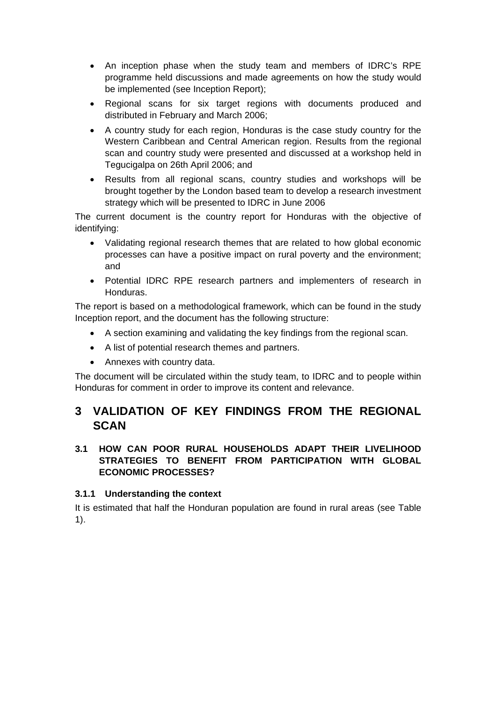- An inception phase when the study team and members of IDRC's RPE programme held discussions and made agreements on how the study would be implemented (see Inception Report);
- Regional scans for six target regions with documents produced and distributed in February and March 2006;
- A country study for each region, Honduras is the case study country for the Western Caribbean and Central American region. Results from the regional scan and country study were presented and discussed at a workshop held in Tegucigalpa on 26th April 2006; and
- Results from all regional scans, country studies and workshops will be brought together by the London based team to develop a research investment strategy which will be presented to IDRC in June 2006

The current document is the country report for Honduras with the objective of identifying:

- Validating regional research themes that are related to how global economic processes can have a positive impact on rural poverty and the environment; and
- Potential IDRC RPE research partners and implementers of research in Honduras.

The report is based on a methodological framework, which can be found in the study Inception report, and the document has the following structure:

- A section examining and validating the key findings from the regional scan.
- A list of potential research themes and partners.
- Annexes with country data.

The document will be circulated within the study team, to IDRC and to people within Honduras for comment in order to improve its content and relevance.

# **3 VALIDATION OF KEY FINDINGS FROM THE REGIONAL SCAN**

# **3.1 HOW CAN POOR RURAL HOUSEHOLDS ADAPT THEIR LIVELIHOOD STRATEGIES TO BENEFIT FROM PARTICIPATION WITH GLOBAL ECONOMIC PROCESSES?**

### **3.1.1 Understanding the context**

It is estimated that half the Honduran population are found in rural areas (see Table 1).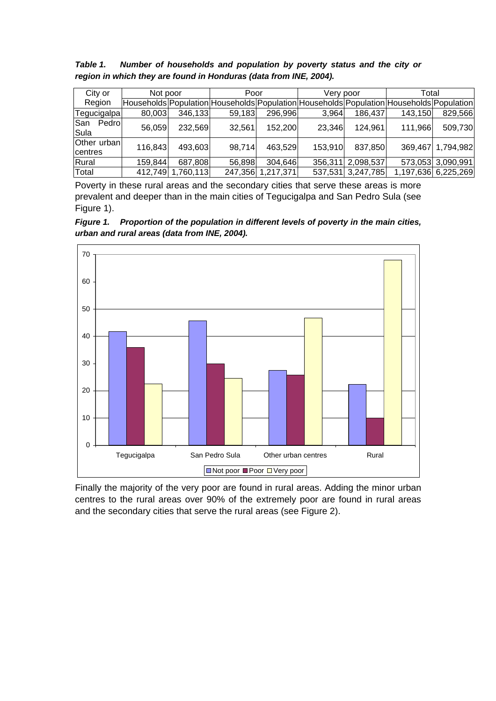| Table 1. |  |  | Number of households and population by poverty status and the city or |  |  |  |  |
|----------|--|--|-----------------------------------------------------------------------|--|--|--|--|
|          |  |  | region in which they are found in Honduras (data from INE, 2004).     |  |  |  |  |

| City or                | Not poor |          | Poor                                                                                    |           | Very poor |                   | Total   |                     |
|------------------------|----------|----------|-----------------------------------------------------------------------------------------|-----------|-----------|-------------------|---------|---------------------|
| Region                 |          |          | Households Population Households Population Households Population Households Population |           |           |                   |         |                     |
| Tegucigalpa            | 80,003   | 346,133  | 59,183                                                                                  | 296,996   | 3,964     | 186,437           | 143,150 | 829,566             |
| San<br>Pedrol<br>Sula  | 56,059   | 232,569  | 32,561                                                                                  | 152,200   | 23,346    | 124,961           | 111,966 | 509,730             |
| Other urban<br>centres | 116,843  | 493,603  | 98,714                                                                                  | 463,529   | 153,910   | 837,850           |         | 369,467 1,794,982   |
| Rural                  | 159,844  | 687,808  | 56,898                                                                                  | 304,646   | 356,311   | 2,098,537         |         | 573,053 3,090,991   |
| Total                  | 412,749  | ,760,113 | 247,356                                                                                 | 1,217,371 |           | 537,531 3,247,785 |         | 1,197,636 6,225,269 |

Poverty in these rural areas and the secondary cities that serve these areas is more prevalent and deeper than in the main cities of Tegucigalpa and San Pedro Sula (see Figure 1).

*Figure 1. Proportion of the population in different levels of poverty in the main cities, urban and rural areas (data from INE, 2004).* 



Finally the majority of the very poor are found in rural areas. Adding the minor urban centres to the rural areas over 90% of the extremely poor are found in rural areas and the secondary cities that serve the rural areas (see Figure 2).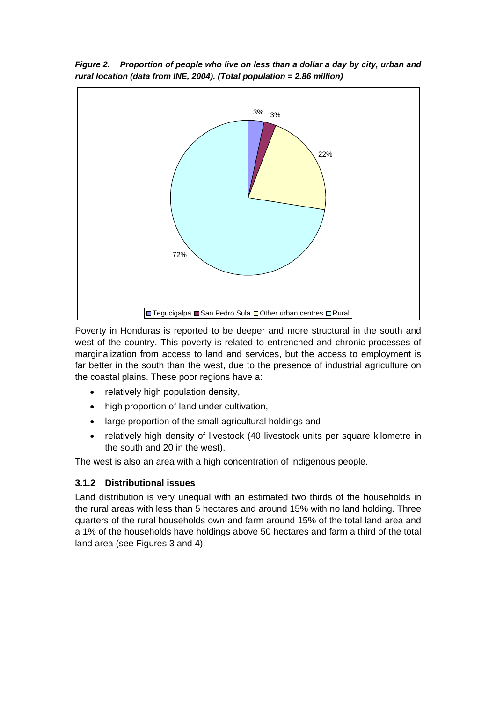

*Figure 2. Proportion of people who live on less than a dollar a day by city, urban and rural location (data from INE, 2004). (Total population = 2.86 million)* 

Poverty in Honduras is reported to be deeper and more structural in the south and west of the country. This poverty is related to entrenched and chronic processes of marginalization from access to land and services, but the access to employment is far better in the south than the west, due to the presence of industrial agriculture on the coastal plains. These poor regions have a:

- relatively high population density,
- high proportion of land under cultivation,
- large proportion of the small agricultural holdings and
- relatively high density of livestock (40 livestock units per square kilometre in the south and 20 in the west).

The west is also an area with a high concentration of indigenous people.

### **3.1.2 Distributional issues**

Land distribution is very unequal with an estimated two thirds of the households in the rural areas with less than 5 hectares and around 15% with no land holding. Three quarters of the rural households own and farm around 15% of the total land area and a 1% of the households have holdings above 50 hectares and farm a third of the total land area (see Figures 3 and 4).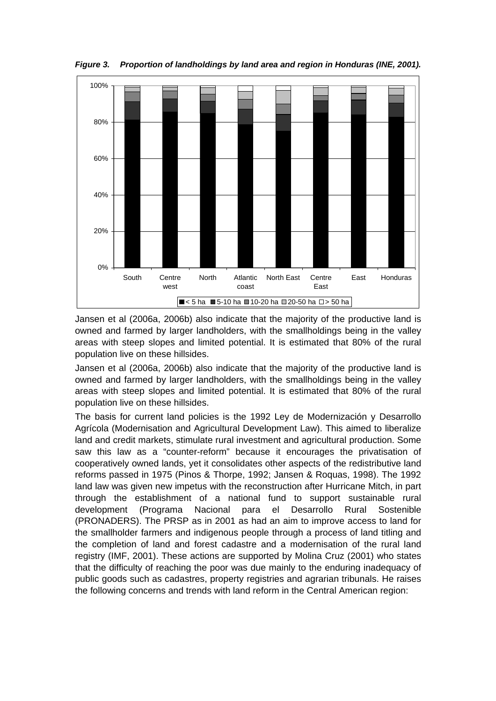

*Figure 3. Proportion of landholdings by land area and region in Honduras (INE, 2001).* 

Jansen et al (2006a, 2006b) also indicate that the majority of the productive land is owned and farmed by larger landholders, with the smallholdings being in the valley areas with steep slopes and limited potential. It is estimated that 80% of the rural population live on these hillsides.

Jansen et al (2006a, 2006b) also indicate that the majority of the productive land is owned and farmed by larger landholders, with the smallholdings being in the valley areas with steep slopes and limited potential. It is estimated that 80% of the rural population live on these hillsides.

The basis for current land policies is the 1992 Ley de Modernización y Desarrollo Agrícola (Modernisation and Agricultural Development Law). This aimed to liberalize land and credit markets, stimulate rural investment and agricultural production. Some saw this law as a "counter-reform" because it encourages the privatisation of cooperatively owned lands, yet it consolidates other aspects of the redistributive land reforms passed in 1975 (Pinos & Thorpe, 1992; Jansen & Roquas, 1998). The 1992 land law was given new impetus with the reconstruction after Hurricane Mitch, in part through the establishment of a national fund to support sustainable rural development (Programa Nacional para el Desarrollo Rural Sostenible (PRONADERS). The PRSP as in 2001 as had an aim to improve access to land for the smallholder farmers and indigenous people through a process of land titling and the completion of land and forest cadastre and a modernisation of the rural land registry (IMF, 2001). These actions are supported by Molina Cruz (2001) who states that the difficulty of reaching the poor was due mainly to the enduring inadequacy of public goods such as cadastres, property registries and agrarian tribunals. He raises the following concerns and trends with land reform in the Central American region: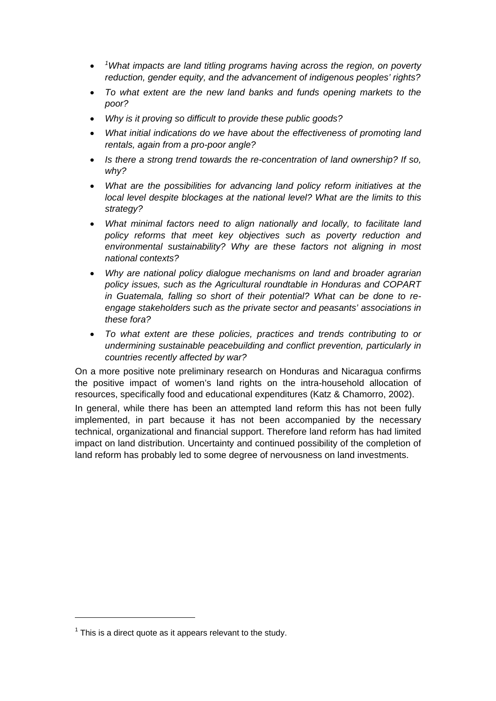- *<sup>1</sup> What impacts are land titling programs having across the region, on poverty reduction, gender equity, and the advancement of indigenous peoples' rights?*
- *To what extent are the new land banks and funds opening markets to the poor?*
- *Why is it proving so difficult to provide these public goods?*
- *What initial indications do we have about the effectiveness of promoting land rentals, again from a pro-poor angle?*
- *Is there a strong trend towards the re-concentration of land ownership? If so, why?*
- *What are the possibilities for advancing land policy reform initiatives at the local level despite blockages at the national level? What are the limits to this strategy?*
- *What minimal factors need to align nationally and locally, to facilitate land policy reforms that meet key objectives such as poverty reduction and environmental sustainability? Why are these factors not aligning in most national contexts?*
- *Why are national policy dialogue mechanisms on land and broader agrarian policy issues, such as the Agricultural roundtable in Honduras and COPART in Guatemala, falling so short of their potential? What can be done to reengage stakeholders such as the private sector and peasants' associations in these fora?*
- *To what extent are these policies, practices and trends contributing to or undermining sustainable peacebuilding and conflict prevention, particularly in countries recently affected by war?*

On a more positive note preliminary research on Honduras and Nicaragua confirms the positive impact of women's land rights on the intra-household allocation of resources, specifically food and educational expenditures (Katz & Chamorro, 2002).

In general, while there has been an attempted land reform this has not been fully implemented, in part because it has not been accompanied by the necessary technical, organizational and financial support. Therefore land reform has had limited impact on land distribution. Uncertainty and continued possibility of the completion of land reform has probably led to some degree of nervousness on land investments.

 $1$  This is a direct quote as it appears relevant to the study.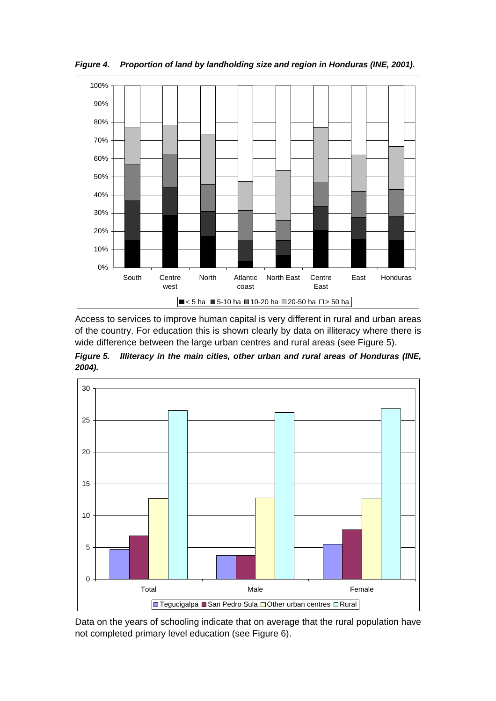

*Figure 4. Proportion of land by landholding size and region in Honduras (INE, 2001).* 

Access to services to improve human capital is very different in rural and urban areas of the country. For education this is shown clearly by data on illiteracy where there is wide difference between the large urban centres and rural areas (see Figure 5).

*Figure 5. Illiteracy in the main cities, other urban and rural areas of Honduras (INE, 2004).* 



Data on the years of schooling indicate that on average that the rural population have not completed primary level education (see Figure 6).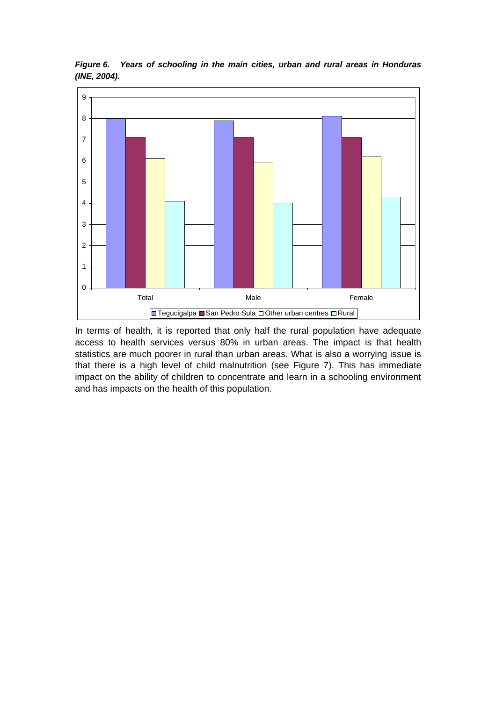

*Figure 6. Years of schooling in the main cities, urban and rural areas in Honduras (INE, 2004).* 

In terms of health, it is reported that only half the rural population have adequate access to health services versus 80% in urban areas. The impact is that health statistics are much poorer in rural than urban areas. What is also a worrying issue is that there is a high level of child malnutrition (see Figure 7). This has immediate impact on the ability of children to concentrate and learn in a schooling environment and has impacts on the health of this population.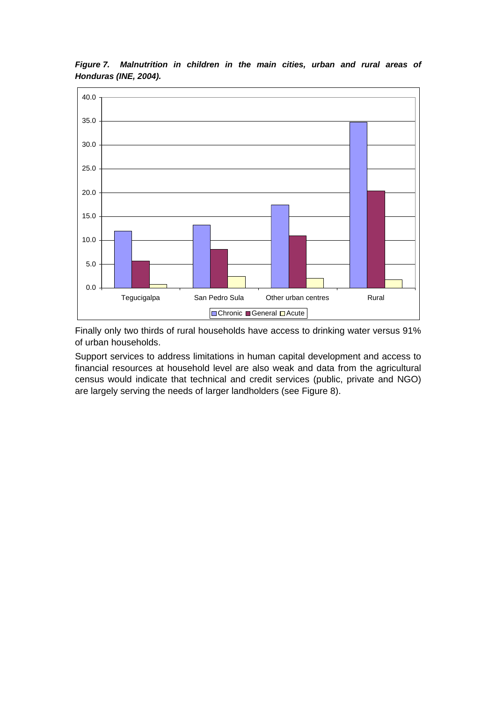

*Figure 7. Malnutrition in children in the main cities, urban and rural areas of Honduras (INE, 2004).* 

Finally only two thirds of rural households have access to drinking water versus 91% of urban households.

Support services to address limitations in human capital development and access to financial resources at household level are also weak and data from the agricultural census would indicate that technical and credit services (public, private and NGO) are largely serving the needs of larger landholders (see Figure 8).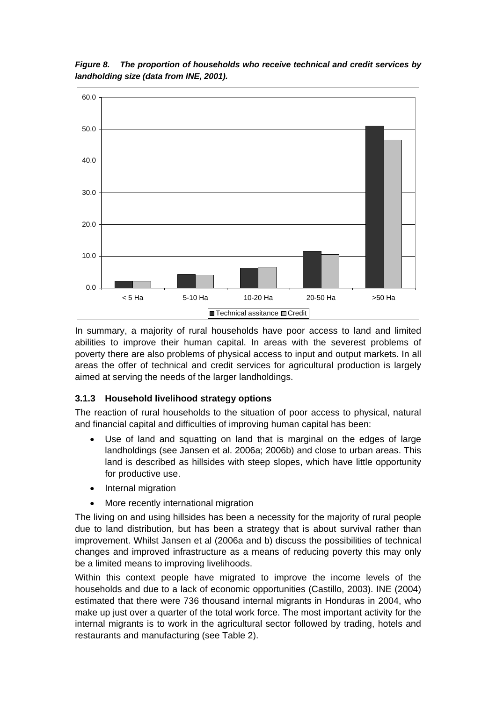

*Figure 8. The proportion of households who receive technical and credit services by landholding size (data from INE, 2001).* 

In summary, a majority of rural households have poor access to land and limited abilities to improve their human capital. In areas with the severest problems of poverty there are also problems of physical access to input and output markets. In all areas the offer of technical and credit services for agricultural production is largely aimed at serving the needs of the larger landholdings.

### **3.1.3 Household livelihood strategy options**

The reaction of rural households to the situation of poor access to physical, natural and financial capital and difficulties of improving human capital has been:

- Use of land and squatting on land that is marginal on the edges of large landholdings (see Jansen et al. 2006a; 2006b) and close to urban areas. This land is described as hillsides with steep slopes, which have little opportunity for productive use.
- Internal migration
- More recently international migration

The living on and using hillsides has been a necessity for the majority of rural people due to land distribution, but has been a strategy that is about survival rather than improvement. Whilst Jansen et al (2006a and b) discuss the possibilities of technical changes and improved infrastructure as a means of reducing poverty this may only be a limited means to improving livelihoods.

Within this context people have migrated to improve the income levels of the households and due to a lack of economic opportunities (Castillo, 2003). INE (2004) estimated that there were 736 thousand internal migrants in Honduras in 2004, who make up just over a quarter of the total work force. The most important activity for the internal migrants is to work in the agricultural sector followed by trading, hotels and restaurants and manufacturing (see Table 2).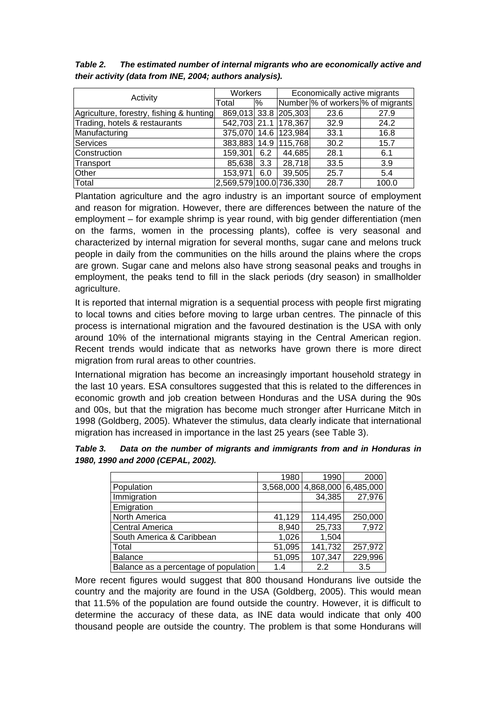| Activity                                 | Workers                 |     | Economically active migrants |      |                                   |  |
|------------------------------------------|-------------------------|-----|------------------------------|------|-----------------------------------|--|
|                                          | Total                   | %   |                              |      | Number % of workers % of migrants |  |
| Agriculture, forestry, fishing & hunting |                         |     | 869,013 33.8 205,303         | 23.6 | 27.9                              |  |
| Trading, hotels & restaurants            |                         |     | 542,703 21.1 178,367         | 32.9 | 24.2                              |  |
| Manufacturing                            |                         |     | 375,070 14.6 123,984         | 33.1 | 16.8                              |  |
| Services                                 |                         |     | 383,883 14.9 115,768         | 30.2 | 15.7                              |  |
| Construction                             | 159,301                 | 6.2 | 44,685                       | 28.1 | 6.1                               |  |
| Transport                                | 85,638                  | 3.3 | 28,718                       | 33.5 | 3.9                               |  |
| Other                                    | 153,971                 | 6.0 | 39,505                       | 25.7 | 5.4                               |  |
| Total                                    | 2,569,579 100.0 736,330 |     |                              | 28.7 | 100.0                             |  |

*Table 2. The estimated number of internal migrants who are economically active and their activity (data from INE, 2004; authors analysis).* 

Plantation agriculture and the agro industry is an important source of employment and reason for migration. However, there are differences between the nature of the employment – for example shrimp is year round, with big gender differentiation (men on the farms, women in the processing plants), coffee is very seasonal and characterized by internal migration for several months, sugar cane and melons truck people in daily from the communities on the hills around the plains where the crops are grown. Sugar cane and melons also have strong seasonal peaks and troughs in employment, the peaks tend to fill in the slack periods (dry season) in smallholder agriculture.

It is reported that internal migration is a sequential process with people first migrating to local towns and cities before moving to large urban centres. The pinnacle of this process is international migration and the favoured destination is the USA with only around 10% of the international migrants staying in the Central American region. Recent trends would indicate that as networks have grown there is more direct migration from rural areas to other countries.

International migration has become an increasingly important household strategy in the last 10 years. ESA consultores suggested that this is related to the differences in economic growth and job creation between Honduras and the USA during the 90s and 00s, but that the migration has become much stronger after Hurricane Mitch in 1998 (Goldberg, 2005). Whatever the stimulus, data clearly indicate that international migration has increased in importance in the last 25 years (see Table 3).

| Table 3. | Data on the number of migrants and immigrants from and in Honduras in |
|----------|-----------------------------------------------------------------------|
|          | 1980, 1990 and 2000 (CEPAL, 2002).                                    |

|                                       | 1980      | 1990    | 2000                |
|---------------------------------------|-----------|---------|---------------------|
| Population                            | 3,568,000 |         | 4,868,000 6,485,000 |
| Immigration                           |           | 34,385  | 27,976              |
| Emigration                            |           |         |                     |
| North America                         | 41,129    | 114,495 | 250,000             |
| <b>Central America</b>                | 8,940     | 25,733  | 7,972               |
| South America & Caribbean             | 1,026     | 1,504   |                     |
| Total                                 | 51,095    | 141,732 | 257,972             |
| <b>Balance</b>                        | 51,095    | 107,347 | 229,996             |
| Balance as a percentage of population | 1.4       | 2.2     | 3.5                 |

More recent figures would suggest that 800 thousand Hondurans live outside the country and the majority are found in the USA (Goldberg, 2005). This would mean that 11.5% of the population are found outside the country. However, it is difficult to determine the accuracy of these data, as INE data would indicate that only 400 thousand people are outside the country. The problem is that some Hondurans will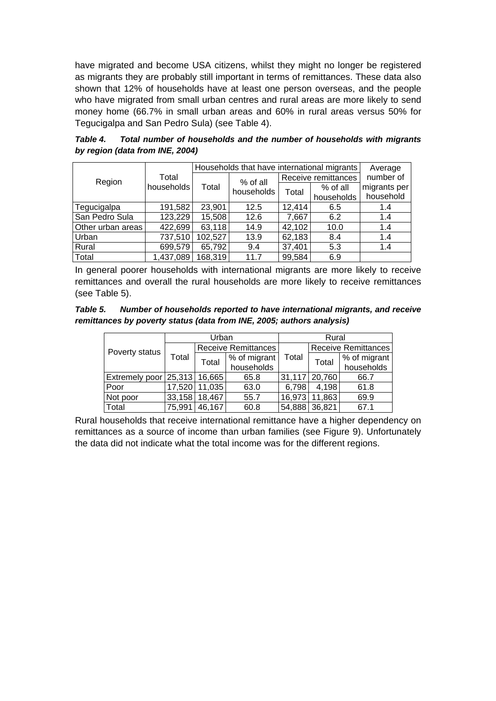have migrated and become USA citizens, whilst they might no longer be registered as migrants they are probably still important in terms of remittances. These data also shown that 12% of households have at least one person overseas, and the people who have migrated from small urban centres and rural areas are more likely to send money home (66.7% in small urban areas and 60% in rural areas versus 50% for Tegucigalpa and San Pedro Sula) (see Table 4).

*Table 4. Total number of households and the number of households with migrants by region (data from INE, 2004)* 

|                   |                     | Households that have international migrants | Average    |                     |            |              |
|-------------------|---------------------|---------------------------------------------|------------|---------------------|------------|--------------|
| Region            | Total<br>households | Total                                       | % of all   | Receive remittances |            | number of    |
|                   |                     |                                             | households | Total               | % of all   | migrants per |
|                   |                     |                                             |            |                     | households | household    |
| Tegucigalpa       | 191,582             | 23,901                                      | 12.5       | 12,414              | 6.5        | 1.4          |
| San Pedro Sula    | 123,229             | 15,508                                      | 12.6       | 7,667               | 6.2        | 1.4          |
| Other urban areas | 422,699             | 63,118                                      | 14.9       | 42,102              | 10.0       | 1.4          |
| Urban             | 737,510             | 102,527                                     | 13.9       | 62,183              | 8.4        | 1.4          |
| Rural             | 699,579             | 65,792                                      | 9.4        | 37,401              | 5.3        | 1.4          |
| Total             | 1,437,089           | 168,319                                     | 11.7       | 99,584              | 6.9        |              |

In general poorer households with international migrants are more likely to receive remittances and overall the rural households are more likely to receive remittances (see Table 5).

*Table 5. Number of households reported to have international migrants, and receive remittances by poverty status (data from INE, 2005; authors analysis)* 

|                                |        | Urban           |                     | Rural  |                            |              |  |
|--------------------------------|--------|-----------------|---------------------|--------|----------------------------|--------------|--|
| Poverty status                 |        |                 | Receive Remittances |        | <b>Receive Remittances</b> |              |  |
|                                | Total  | Total           | % of migrant        | Total  | Total                      | % of migrant |  |
|                                |        |                 | households          |        |                            | households   |  |
| Extremely poor 25,313   16,665 |        |                 | 65.8                |        | 31,117 20,760              | 66.7         |  |
| Poor                           |        | 17,520   11,035 | 63.0                | 6,798  | 4,198                      | 61.8         |  |
| Not poor                       |        | 33,158 18,467   | 55.7                | 16,973 | 11,863                     | 69.9         |  |
| Total                          | 75,991 | 46,167          | 60.8                |        | 54,888 36,821              | 67.1         |  |

Rural households that receive international remittance have a higher dependency on remittances as a source of income than urban families (see Figure 9). Unfortunately the data did not indicate what the total income was for the different regions.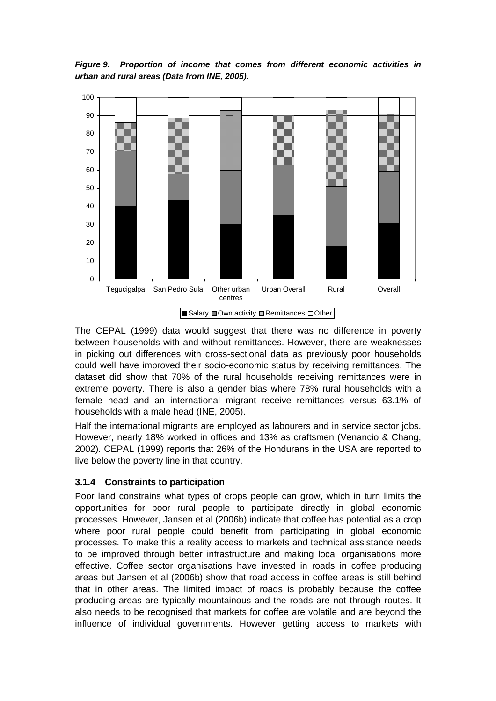*Figure 9. Proportion of income that comes from different economic activities in urban and rural areas (Data from INE, 2005).* 



The CEPAL (1999) data would suggest that there was no difference in poverty between households with and without remittances. However, there are weaknesses in picking out differences with cross-sectional data as previously poor households could well have improved their socio-economic status by receiving remittances. The dataset did show that 70% of the rural households receiving remittances were in extreme poverty. There is also a gender bias where 78% rural households with a female head and an international migrant receive remittances versus 63.1% of households with a male head (INE, 2005).

Half the international migrants are employed as labourers and in service sector jobs. However, nearly 18% worked in offices and 13% as craftsmen (Venancio & Chang, 2002). CEPAL (1999) reports that 26% of the Hondurans in the USA are reported to live below the poverty line in that country.

### **3.1.4 Constraints to participation**

Poor land constrains what types of crops people can grow, which in turn limits the opportunities for poor rural people to participate directly in global economic processes. However, Jansen et al (2006b) indicate that coffee has potential as a crop where poor rural people could benefit from participating in global economic processes. To make this a reality access to markets and technical assistance needs to be improved through better infrastructure and making local organisations more effective. Coffee sector organisations have invested in roads in coffee producing areas but Jansen et al (2006b) show that road access in coffee areas is still behind that in other areas. The limited impact of roads is probably because the coffee producing areas are typically mountainous and the roads are not through routes. It also needs to be recognised that markets for coffee are volatile and are beyond the influence of individual governments. However getting access to markets with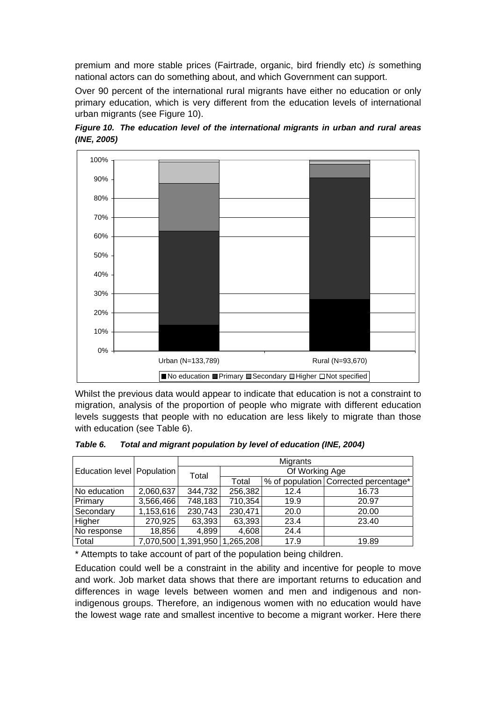premium and more stable prices (Fairtrade, organic, bird friendly etc) *is* something national actors can do something about, and which Government can support.

Over 90 percent of the international rural migrants have either no education or only primary education, which is very different from the education levels of international urban migrants (see Figure 10).





Whilst the previous data would appear to indicate that education is not a constraint to migration, analysis of the proportion of people who migrate with different education levels suggests that people with no education are less likely to migrate than those with education (see Table 6).

|                              |           | Migrants |                       |      |                                       |  |  |
|------------------------------|-----------|----------|-----------------------|------|---------------------------------------|--|--|
| Education level   Population |           | Total    | Of Working Age        |      |                                       |  |  |
|                              |           |          | Total                 |      | % of population Corrected percentage* |  |  |
| No education                 | 2,060,637 | 344,732  | 256,382               | 12.4 | 16.73                                 |  |  |
| Primary                      | 3,566,466 | 748,183  | 710,354               | 19.9 | 20.97                                 |  |  |
| Secondary                    | 1,153,616 | 230,743  | 230,471               | 20.0 | 20.00                                 |  |  |
| Higher                       | 270,925   | 63,393   | 63,393                | 23.4 | 23.40                                 |  |  |
| No response                  | 18,856    | 4,899    | 4,608                 | 24.4 |                                       |  |  |
| Total                        | 7,070,500 |          | 1,391,950   1,265,208 | 17.9 | 19.89                                 |  |  |

*Table 6. Total and migrant population by level of education (INE, 2004)* 

\* Attempts to take account of part of the population being children.

Education could well be a constraint in the ability and incentive for people to move and work. Job market data shows that there are important returns to education and differences in wage levels between women and men and indigenous and nonindigenous groups. Therefore, an indigenous women with no education would have the lowest wage rate and smallest incentive to become a migrant worker. Here there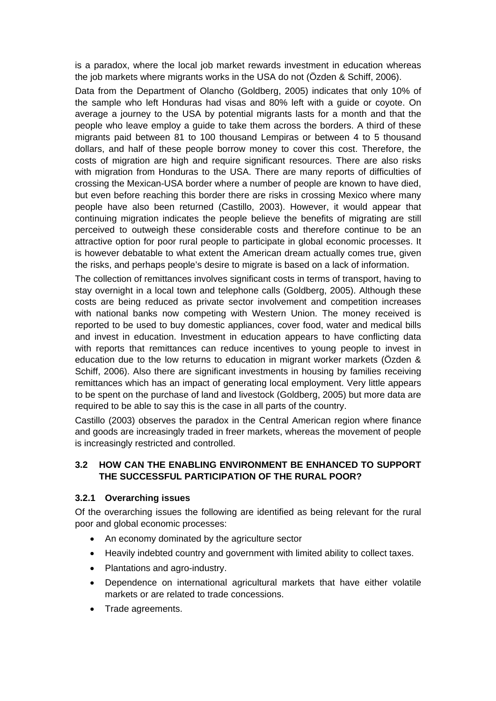is a paradox, where the local job market rewards investment in education whereas the job markets where migrants works in the USA do not (Özden & Schiff, 2006).

Data from the Department of Olancho (Goldberg, 2005) indicates that only 10% of the sample who left Honduras had visas and 80% left with a guide or coyote. On average a journey to the USA by potential migrants lasts for a month and that the people who leave employ a guide to take them across the borders. A third of these migrants paid between 81 to 100 thousand Lempiras or between 4 to 5 thousand dollars, and half of these people borrow money to cover this cost. Therefore, the costs of migration are high and require significant resources. There are also risks with migration from Honduras to the USA. There are many reports of difficulties of crossing the Mexican-USA border where a number of people are known to have died, but even before reaching this border there are risks in crossing Mexico where many people have also been returned (Castillo, 2003). However, it would appear that continuing migration indicates the people believe the benefits of migrating are still perceived to outweigh these considerable costs and therefore continue to be an attractive option for poor rural people to participate in global economic processes. It is however debatable to what extent the American dream actually comes true, given the risks, and perhaps people's desire to migrate is based on a lack of information.

The collection of remittances involves significant costs in terms of transport, having to stay overnight in a local town and telephone calls (Goldberg, 2005). Although these costs are being reduced as private sector involvement and competition increases with national banks now competing with Western Union. The money received is reported to be used to buy domestic appliances, cover food, water and medical bills and invest in education. Investment in education appears to have conflicting data with reports that remittances can reduce incentives to young people to invest in education due to the low returns to education in migrant worker markets (Özden & Schiff, 2006). Also there are significant investments in housing by families receiving remittances which has an impact of generating local employment. Very little appears to be spent on the purchase of land and livestock (Goldberg, 2005) but more data are required to be able to say this is the case in all parts of the country.

Castillo (2003) observes the paradox in the Central American region where finance and goods are increasingly traded in freer markets, whereas the movement of people is increasingly restricted and controlled.

### **3.2 HOW CAN THE ENABLING ENVIRONMENT BE ENHANCED TO SUPPORT THE SUCCESSFUL PARTICIPATION OF THE RURAL POOR?**

#### **3.2.1 Overarching issues**

Of the overarching issues the following are identified as being relevant for the rural poor and global economic processes:

- An economy dominated by the agriculture sector
- Heavily indebted country and government with limited ability to collect taxes.
- Plantations and agro-industry.
- Dependence on international agricultural markets that have either volatile markets or are related to trade concessions.
- Trade agreements.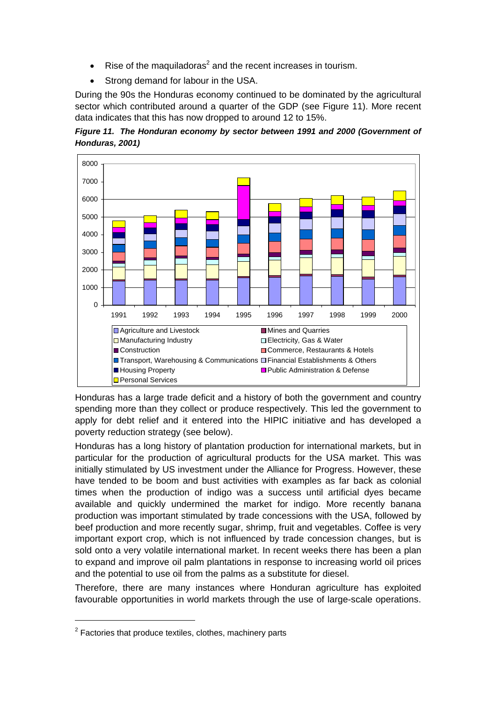- Rise of the maquiladoras<sup>2</sup> and the recent increases in tourism.
- Strong demand for labour in the USA.

During the 90s the Honduras economy continued to be dominated by the agricultural sector which contributed around a quarter of the GDP (see Figure 11). More recent data indicates that this has now dropped to around 12 to 15%.





Honduras has a large trade deficit and a history of both the government and country spending more than they collect or produce respectively. This led the government to apply for debt relief and it entered into the HIPIC initiative and has developed a poverty reduction strategy (see below).

Honduras has a long history of plantation production for international markets, but in particular for the production of agricultural products for the USA market. This was initially stimulated by US investment under the Alliance for Progress. However, these have tended to be boom and bust activities with examples as far back as colonial times when the production of indigo was a success until artificial dyes became available and quickly undermined the market for indigo. More recently banana production was important stimulated by trade concessions with the USA, followed by beef production and more recently sugar, shrimp, fruit and vegetables. Coffee is very important export crop, which is not influenced by trade concession changes, but is sold onto a very volatile international market. In recent weeks there has been a plan to expand and improve oil palm plantations in response to increasing world oil prices and the potential to use oil from the palms as a substitute for diesel.

Therefore, there are many instances where Honduran agriculture has exploited favourable opportunities in world markets through the use of large-scale operations.

 $\overline{a}$  $2$  Factories that produce textiles, clothes, machinery parts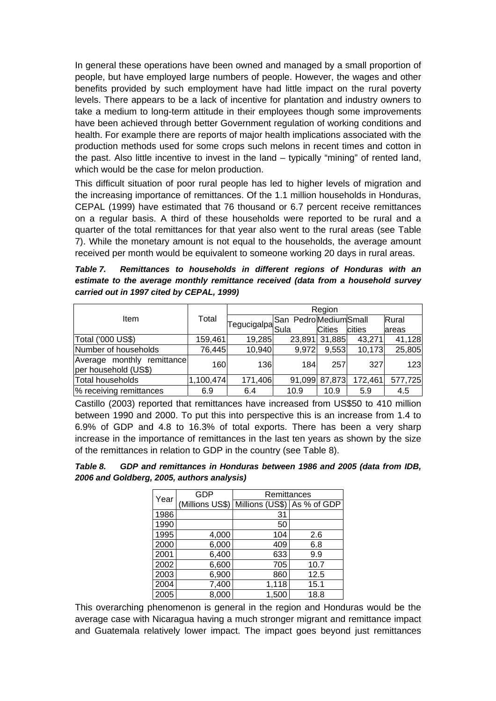In general these operations have been owned and managed by a small proportion of people, but have employed large numbers of people. However, the wages and other benefits provided by such employment have had little impact on the rural poverty levels. There appears to be a lack of incentive for plantation and industry owners to take a medium to long-term attitude in their employees though some improvements have been achieved through better Government regulation of working conditions and health. For example there are reports of major health implications associated with the production methods used for some crops such melons in recent times and cotton in the past. Also little incentive to invest in the land – typically "mining" of rented land, which would be the case for melon production.

This difficult situation of poor rural people has led to higher levels of migration and the increasing importance of remittances. Of the 1.1 million households in Honduras, CEPAL (1999) have estimated that 76 thousand or 6.7 percent receive remittances on a regular basis. A third of these households were reported to be rural and a quarter of the total remittances for that year also went to the rural areas (see Table 7). While the monetary amount is not equal to the households, the average amount received per month would be equivalent to someone working 20 days in rural areas.

*Table 7. Remittances to households in different regions of Honduras with an estimate to the average monthly remittance received (data from a household survey carried out in 1997 cited by CEPAL, 1999)* 

|                                                    |           | Region                                  |                      |               |         |         |  |  |
|----------------------------------------------------|-----------|-----------------------------------------|----------------------|---------------|---------|---------|--|--|
| Item                                               | Total     |                                         | San PedroMediumSmall |               |         | Rural   |  |  |
|                                                    |           | Tegucigalpa $ \mathsf{Sul}_\mathsf{a} $ |                      | <b>Cities</b> | cities  | lareas  |  |  |
| Total ('000 US\$)                                  | 159,461   | 19,285                                  | 23,891               | 31,885        | 43,271  | 41,128  |  |  |
| Number of households                               | 76,445    | 10,940                                  | 9,972                | 9,553         | 10,173  | 25,805  |  |  |
| Average monthly remittance<br>per household (US\$) | 160       | 136                                     | 184                  | 257           | 327     | 123     |  |  |
| Total households                                   | 1,100,474 | 171,406                                 | 91,099               | 87,873        | 172,461 | 577,725 |  |  |
| % receiving remittances                            | 6.9       | 6.4                                     | 10.9                 | 10.9          | 5.9     | 4.5     |  |  |

Castillo (2003) reported that remittances have increased from US\$50 to 410 million between 1990 and 2000. To put this into perspective this is an increase from 1.4 to 6.9% of GDP and 4.8 to 16.3% of total exports. There has been a very sharp increase in the importance of remittances in the last ten years as shown by the size of the remittances in relation to GDP in the country (see Table 8).

| Table 8. | GDP and remittances in Honduras between 1986 and 2005 (data from IDB, |
|----------|-----------------------------------------------------------------------|
|          | 2006 and Goldberg, 2005, authors analysis)                            |

| Year | <b>GDP</b>      | Remittances     |             |  |  |  |
|------|-----------------|-----------------|-------------|--|--|--|
|      | (Millions US\$) | Millions (US\$) | As % of GDP |  |  |  |
| 1986 |                 | 31              |             |  |  |  |
| 1990 |                 | 50              |             |  |  |  |
| 1995 | 4,000           | 104             | 2.6         |  |  |  |
| 2000 | 6,000           | 409             | 6.8         |  |  |  |
| 2001 | 6,400           | 633             | 9.9         |  |  |  |
| 2002 | 6,600           | 705             | 10.7        |  |  |  |
| 2003 | 6,900           | 860             | 12.5        |  |  |  |
| 2004 | 7,400           | 1,118           | 15.1        |  |  |  |
| 2005 | 8,000           | 1,500           | 18.8        |  |  |  |

This overarching phenomenon is general in the region and Honduras would be the average case with Nicaragua having a much stronger migrant and remittance impact and Guatemala relatively lower impact. The impact goes beyond just remittances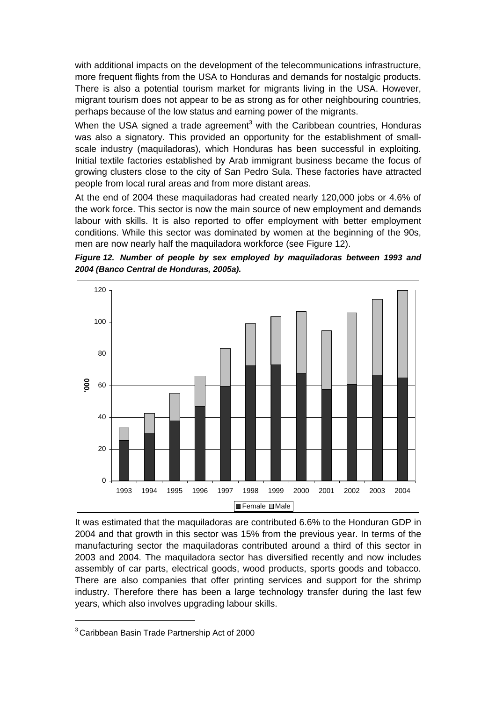with additional impacts on the development of the telecommunications infrastructure, more frequent flights from the USA to Honduras and demands for nostalgic products. There is also a potential tourism market for migrants living in the USA. However, migrant tourism does not appear to be as strong as for other neighbouring countries, perhaps because of the low status and earning power of the migrants.

When the USA signed a trade agreement<sup>3</sup> with the Caribbean countries, Honduras was also a signatory. This provided an opportunity for the establishment of smallscale industry (maquiladoras), which Honduras has been successful in exploiting. Initial textile factories established by Arab immigrant business became the focus of growing clusters close to the city of San Pedro Sula. These factories have attracted people from local rural areas and from more distant areas.

At the end of 2004 these maquiladoras had created nearly 120,000 jobs or 4.6% of the work force. This sector is now the main source of new employment and demands labour with skills. It is also reported to offer employment with better employment conditions. While this sector was dominated by women at the beginning of the 90s, men are now nearly half the maquiladora workforce (see Figure 12).





It was estimated that the maquiladoras are contributed 6.6% to the Honduran GDP in 2004 and that growth in this sector was 15% from the previous year. In terms of the manufacturing sector the maquiladoras contributed around a third of this sector in 2003 and 2004. The maquiladora sector has diversified recently and now includes assembly of car parts, electrical goods, wood products, sports goods and tobacco. There are also companies that offer printing services and support for the shrimp industry. Therefore there has been a large technology transfer during the last few years, which also involves upgrading labour skills.

 <sup>3</sup> Caribbean Basin Trade Partnership Act of 2000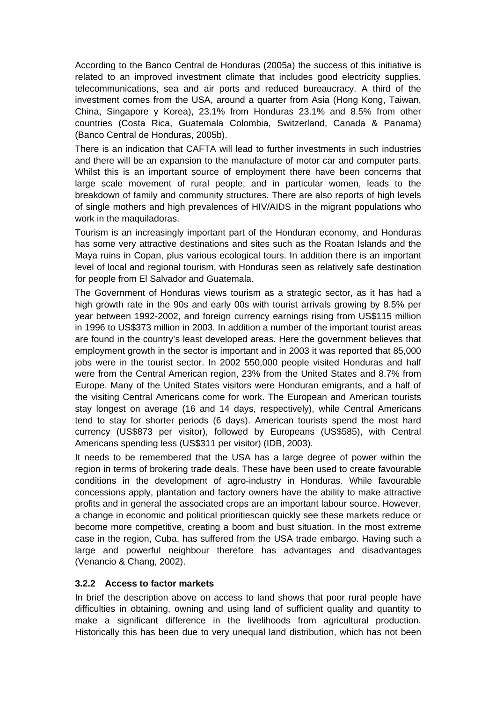According to the Banco Central de Honduras (2005a) the success of this initiative is related to an improved investment climate that includes good electricity supplies, telecommunications, sea and air ports and reduced bureaucracy. A third of the investment comes from the USA, around a quarter from Asia (Hong Kong, Taiwan, China, Singapore y Korea), 23.1% from Honduras 23.1% and 8.5% from other countries (Costa Rica, Guatemala Colombia, Switzerland, Canada & Panama) (Banco Central de Honduras, 2005b).

There is an indication that CAFTA will lead to further investments in such industries and there will be an expansion to the manufacture of motor car and computer parts. Whilst this is an important source of employment there have been concerns that large scale movement of rural people, and in particular women, leads to the breakdown of family and community structures. There are also reports of high levels of single mothers and high prevalences of HIV/AIDS in the migrant populations who work in the maquiladoras.

Tourism is an increasingly important part of the Honduran economy, and Honduras has some very attractive destinations and sites such as the Roatan Islands and the Maya ruins in Copan, plus various ecological tours. In addition there is an important level of local and regional tourism, with Honduras seen as relatively safe destination for people from El Salvador and Guatemala.

The Government of Honduras views tourism as a strategic sector, as it has had a high growth rate in the 90s and early 00s with tourist arrivals growing by 8.5% per year between 1992-2002, and foreign currency earnings rising from US\$115 million in 1996 to US\$373 million in 2003. In addition a number of the important tourist areas are found in the country's least developed areas. Here the government believes that employment growth in the sector is important and in 2003 it was reported that 85,000 jobs were in the tourist sector. In 2002 550,000 people visited Honduras and half were from the Central American region, 23% from the United States and 8.7% from Europe. Many of the United States visitors were Honduran emigrants, and a half of the visiting Central Americans come for work. The European and American tourists stay longest on average (16 and 14 days, respectively), while Central Americans tend to stay for shorter periods (6 days). American tourists spend the most hard currency (US\$873 per visitor), followed by Europeans (US\$585), with Central Americans spending less (US\$311 per visitor) (IDB, 2003).

It needs to be remembered that the USA has a large degree of power within the region in terms of brokering trade deals. These have been used to create favourable conditions in the development of agro-industry in Honduras. While favourable concessions apply, plantation and factory owners have the ability to make attractive profits and in general the associated crops are an important labour source. However, a change in economic and political prioritiescan quickly see these markets reduce or become more competitive, creating a boom and bust situation. In the most extreme case in the region, Cuba, has suffered from the USA trade embargo. Having such a large and powerful neighbour therefore has advantages and disadvantages (Venancio & Chang, 2002).

### **3.2.2 Access to factor markets**

In brief the description above on access to land shows that poor rural people have difficulties in obtaining, owning and using land of sufficient quality and quantity to make a significant difference in the livelihoods from agricultural production. Historically this has been due to very unequal land distribution, which has not been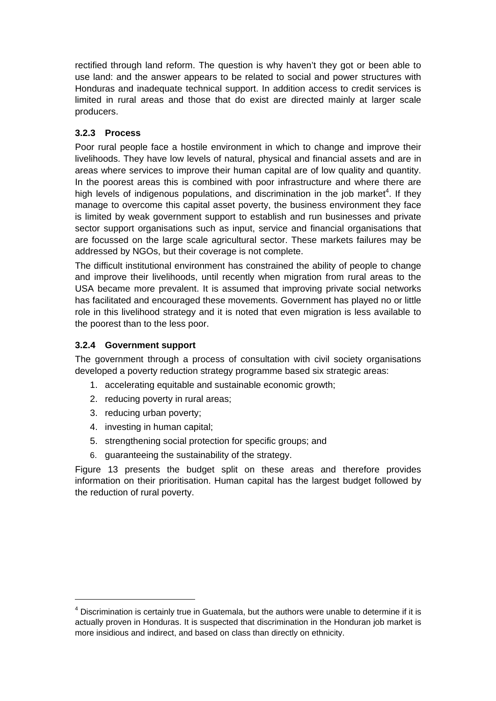rectified through land reform. The question is why haven't they got or been able to use land: and the answer appears to be related to social and power structures with Honduras and inadequate technical support. In addition access to credit services is limited in rural areas and those that do exist are directed mainly at larger scale producers.

# **3.2.3 Process**

Poor rural people face a hostile environment in which to change and improve their livelihoods. They have low levels of natural, physical and financial assets and are in areas where services to improve their human capital are of low quality and quantity. In the poorest areas this is combined with poor infrastructure and where there are high levels of indigenous populations, and discrimination in the job market<sup>4</sup>. If they manage to overcome this capital asset poverty, the business environment they face is limited by weak government support to establish and run businesses and private sector support organisations such as input, service and financial organisations that are focussed on the large scale agricultural sector. These markets failures may be addressed by NGOs, but their coverage is not complete.

The difficult institutional environment has constrained the ability of people to change and improve their livelihoods, until recently when migration from rural areas to the USA became more prevalent. It is assumed that improving private social networks has facilitated and encouraged these movements. Government has played no or little role in this livelihood strategy and it is noted that even migration is less available to the poorest than to the less poor.

### **3.2.4 Government support**

The government through a process of consultation with civil society organisations developed a poverty reduction strategy programme based six strategic areas:

- 1. accelerating equitable and sustainable economic growth;
- 2. reducing poverty in rural areas;
- 3. reducing urban poverty;
- 4. investing in human capital;
- 5. strengthening social protection for specific groups; and
- 6. guaranteeing the sustainability of the strategy.

Figure 13 presents the budget split on these areas and therefore provides information on their prioritisation. Human capital has the largest budget followed by the reduction of rural poverty.

 $\overline{a}$  $<sup>4</sup>$  Discrimination is certainly true in Guatemala, but the authors were unable to determine if it is</sup> actually proven in Honduras. It is suspected that discrimination in the Honduran job market is more insidious and indirect, and based on class than directly on ethnicity.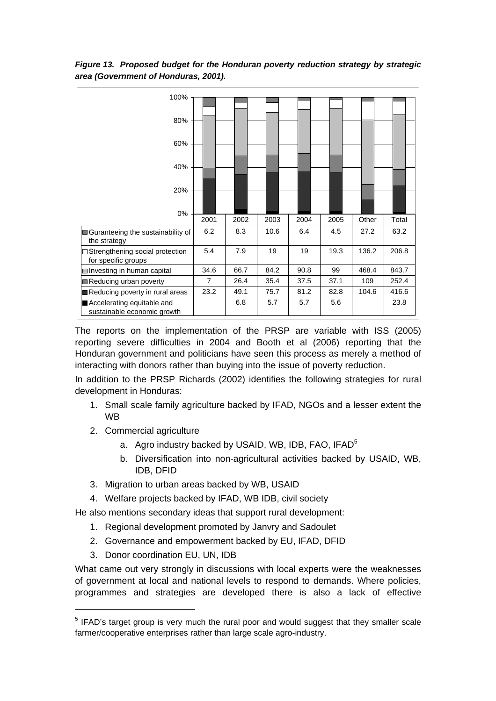| 100%                                                         |                | <b>HILLING</b> | <b>MARINE AND STREET</b> |      | ,,,,,,,,,,, | THEFT | <b>HIIIIIIIII</b> |
|--------------------------------------------------------------|----------------|----------------|--------------------------|------|-------------|-------|-------------------|
|                                                              |                |                |                          |      |             |       |                   |
| 80%                                                          |                |                |                          |      |             |       |                   |
| 60%                                                          |                |                |                          |      |             |       |                   |
| 40%                                                          |                |                |                          |      |             |       |                   |
| 20%                                                          |                |                |                          |      |             |       |                   |
| 0%                                                           |                |                |                          |      |             |       |                   |
|                                                              | 2001           | 2002           | 2003                     | 2004 | 2005        | Other | Total             |
| <b>III</b> Guranteeing the sustainability of<br>the strategy | 6.2            | 8.3            | 10.6                     | 6.4  | 4.5         | 27.2  | 63.2              |
| □ Strengthening social protection<br>for specific groups     | 5.4            | 7.9            | 19                       | 19   | 19.3        | 136.2 | 206.8             |
| □ Investing in human capital                                 | 34.6           | 66.7           | 84.2                     | 90.8 | 99          | 468.4 | 843.7             |
| Reducing urban poverty                                       | $\overline{7}$ | 26.4           | 35.4                     | 37.5 | 37.1        | 109   | 252.4             |
| Reducing poverty in rural areas                              | 23.2           | 49.1           | 75.7                     | 81.2 | 82.8        | 104.6 | 416.6             |
| Accelerating equitable and<br>sustainable economic growth    |                | 6.8            | 5.7                      | 5.7  | 5.6         |       | 23.8              |

*Figure 13. Proposed budget for the Honduran poverty reduction strategy by strategic area (Government of Honduras, 2001).* 

The reports on the implementation of the PRSP are variable with ISS (2005) reporting severe difficulties in 2004 and Booth et al (2006) reporting that the Honduran government and politicians have seen this process as merely a method of interacting with donors rather than buying into the issue of poverty reduction.

In addition to the PRSP Richards (2002) identifies the following strategies for rural development in Honduras:

- 1. Small scale family agriculture backed by IFAD, NGOs and a lesser extent the WB
- 2. Commercial agriculture
	- a. Agro industry backed by USAID, WB, IDB, FAO, IFAD<sup>5</sup>
	- b. Diversification into non-agricultural activities backed by USAID, WB, IDB, DFID
- 3. Migration to urban areas backed by WB, USAID
- 4. Welfare projects backed by IFAD, WB IDB, civil society

He also mentions secondary ideas that support rural development:

- 1. Regional development promoted by Janvry and Sadoulet
- 2. Governance and empowerment backed by EU, IFAD, DFID
- 3. Donor coordination EU, UN, IDB

What came out very strongly in discussions with local experts were the weaknesses of government at local and national levels to respond to demands. Where policies, programmes and strategies are developed there is also a lack of effective

 $\overline{5}$  $<sup>5</sup>$  IFAD's target group is very much the rural poor and would suggest that they smaller scale</sup> farmer/cooperative enterprises rather than large scale agro-industry.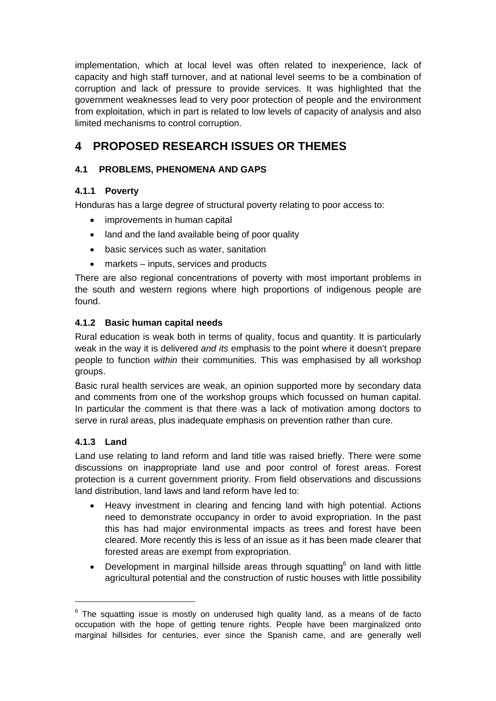implementation, which at local level was often related to inexperience, lack of capacity and high staff turnover, and at national level seems to be a combination of corruption and lack of pressure to provide services. It was highlighted that the government weaknesses lead to very poor protection of people and the environment from exploitation, which in part is related to low levels of capacity of analysis and also limited mechanisms to control corruption.

# **4 PROPOSED RESEARCH ISSUES OR THEMES**

# **4.1 PROBLEMS, PHENOMENA AND GAPS**

# **4.1.1 Poverty**

Honduras has a large degree of structural poverty relating to poor access to:

- improvements in human capital
- land and the land available being of poor quality
- basic services such as water, sanitation
- markets inputs, services and products

There are also regional concentrations of poverty with most important problems in the south and western regions where high proportions of indigenous people are found.

## **4.1.2 Basic human capital needs**

Rural education is weak both in terms of quality, focus and quantity. It is particularly weak in the way it is delivered *and its* emphasis to the point where it doesn't prepare people to function *within* their communities. This was emphasised by all workshop groups.

Basic rural health services are weak, an opinion supported more by secondary data and comments from one of the workshop groups which focussed on human capital. In particular the comment is that there was a lack of motivation among doctors to serve in rural areas, plus inadequate emphasis on prevention rather than cure.

# **4.1.3 Land**

Land use relating to land reform and land title was raised briefly. There were some discussions on inappropriate land use and poor control of forest areas. Forest protection is a current government priority. From field observations and discussions land distribution, land laws and land reform have led to:

- Heavy investment in clearing and fencing land with high potential. Actions need to demonstrate occupancy in order to avoid expropriation. In the past this has had major environmental impacts as trees and forest have been cleared. More recently this is less of an issue as it has been made clearer that forested areas are exempt from expropriation.
- Development in marginal hillside areas through squatting<sup>6</sup> on land with little agricultural potential and the construction of rustic houses with little possibility

<sup>—&</sup>lt;br>6  $6$  The squatting issue is mostly on underused high quality land, as a means of de facto occupation with the hope of getting tenure rights. People have been marginalized onto marginal hillsides for centuries, ever since the Spanish came, and are generally well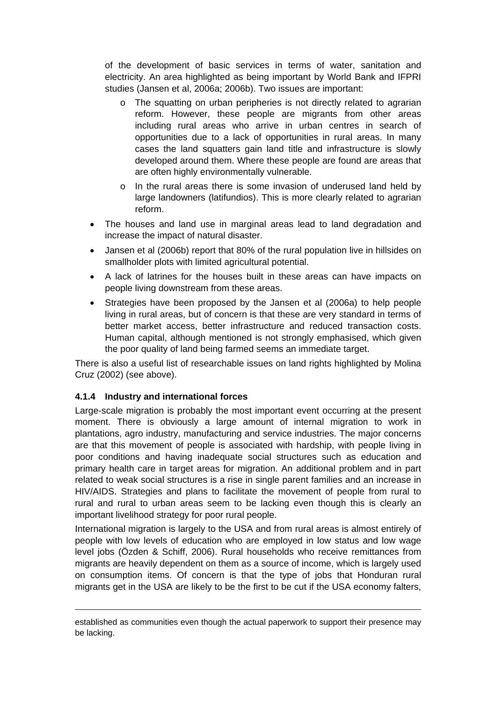of the development of basic services in terms of water, sanitation and electricity. An area highlighted as being important by World Bank and IFPRI studies (Jansen et al, 2006a; 2006b). Two issues are important:

- o The squatting on urban peripheries is not directly related to agrarian reform. However, these people are migrants from other areas including rural areas who arrive in urban centres in search of opportunities due to a lack of opportunities in rural areas. In many cases the land squatters gain land title and infrastructure is slowly developed around them. Where these people are found are areas that are often highly environmentally vulnerable.
- o In the rural areas there is some invasion of underused land held by large landowners (latifundios). This is more clearly related to agrarian reform.
- The houses and land use in marginal areas lead to land degradation and increase the impact of natural disaster.
- Jansen et al (2006b) report that 80% of the rural population live in hillsides on smallholder plots with limited agricultural potential.
- A lack of latrines for the houses built in these areas can have impacts on people living downstream from these areas.
- Strategies have been proposed by the Jansen et al (2006a) to help people living in rural areas, but of concern is that these are very standard in terms of better market access, better infrastructure and reduced transaction costs. Human capital, although mentioned is not strongly emphasised, which given the poor quality of land being farmed seems an immediate target.

There is also a useful list of researchable issues on land rights highlighted by Molina Cruz (2002) (see above).

### **4.1.4 Industry and international forces**

Large-scale migration is probably the most important event occurring at the present moment. There is obviously a large amount of internal migration to work in plantations, agro industry, manufacturing and service industries. The major concerns are that this movement of people is associated with hardship, with people living in poor conditions and having inadequate social structures such as education and primary health care in target areas for migration. An additional problem and in part related to weak social structures is a rise in single parent families and an increase in HIV/AIDS. Strategies and plans to facilitate the movement of people from rural to rural and rural to urban areas seem to be lacking even though this is clearly an important livelihood strategy for poor rural people.

International migration is largely to the USA and from rural areas is almost entirely of people with low levels of education who are employed in low status and low wage level jobs (Özden & Schiff, 2006). Rural households who receive remittances from migrants are heavily dependent on them as a source of income, which is largely used on consumption items. Of concern is that the type of jobs that Honduran rural migrants get in the USA are likely to be the first to be cut if the USA economy falters,

established as communities even though the actual paperwork to support their presence may be lacking.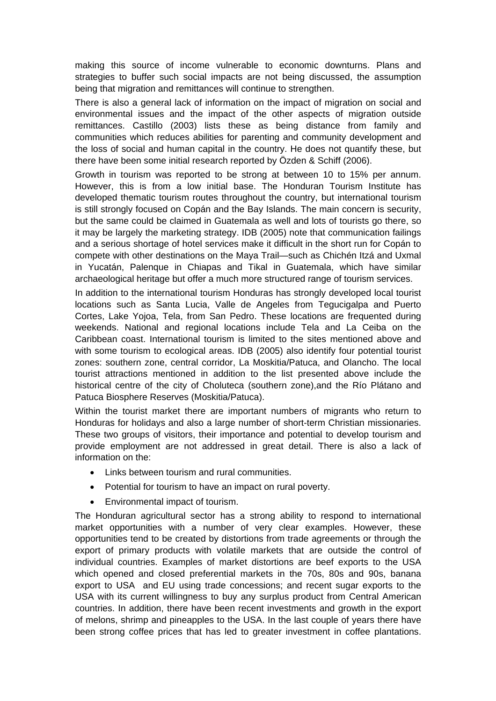making this source of income vulnerable to economic downturns. Plans and strategies to buffer such social impacts are not being discussed, the assumption being that migration and remittances will continue to strengthen.

There is also a general lack of information on the impact of migration on social and environmental issues and the impact of the other aspects of migration outside remittances. Castillo (2003) lists these as being distance from family and communities which reduces abilities for parenting and community development and the loss of social and human capital in the country. He does not quantify these, but there have been some initial research reported by Özden & Schiff (2006).

Growth in tourism was reported to be strong at between 10 to 15% per annum. However, this is from a low initial base. The Honduran Tourism Institute has developed thematic tourism routes throughout the country, but international tourism is still strongly focused on Copán and the Bay Islands. The main concern is security, but the same could be claimed in Guatemala as well and lots of tourists go there, so it may be largely the marketing strategy. IDB (2005) note that communication failings and a serious shortage of hotel services make it difficult in the short run for Copán to compete with other destinations on the Maya Trail—such as Chichén Itzá and Uxmal in Yucatán, Palenque in Chiapas and Tikal in Guatemala, which have similar archaeological heritage but offer a much more structured range of tourism services.

In addition to the international tourism Honduras has strongly developed local tourist locations such as Santa Lucia, Valle de Angeles from Tegucigalpa and Puerto Cortes, Lake Yojoa, Tela, from San Pedro. These locations are frequented during weekends. National and regional locations include Tela and La Ceiba on the Caribbean coast. International tourism is limited to the sites mentioned above and with some tourism to ecological areas. IDB (2005) also identify four potential tourist zones: southern zone, central corridor, La Moskitia/Patuca, and Olancho. The local tourist attractions mentioned in addition to the list presented above include the historical centre of the city of Choluteca (southern zone),and the Río Plátano and Patuca Biosphere Reserves (Moskitia/Patuca).

Within the tourist market there are important numbers of migrants who return to Honduras for holidays and also a large number of short-term Christian missionaries. These two groups of visitors, their importance and potential to develop tourism and provide employment are not addressed in great detail. There is also a lack of information on the:

- Links between tourism and rural communities.
- Potential for tourism to have an impact on rural poverty.
- Environmental impact of tourism.

The Honduran agricultural sector has a strong ability to respond to international market opportunities with a number of very clear examples. However, these opportunities tend to be created by distortions from trade agreements or through the export of primary products with volatile markets that are outside the control of individual countries. Examples of market distortions are beef exports to the USA which opened and closed preferential markets in the 70s, 80s and 90s, banana export to USA and EU using trade concessions; and recent sugar exports to the USA with its current willingness to buy any surplus product from Central American countries. In addition, there have been recent investments and growth in the export of melons, shrimp and pineapples to the USA. In the last couple of years there have been strong coffee prices that has led to greater investment in coffee plantations.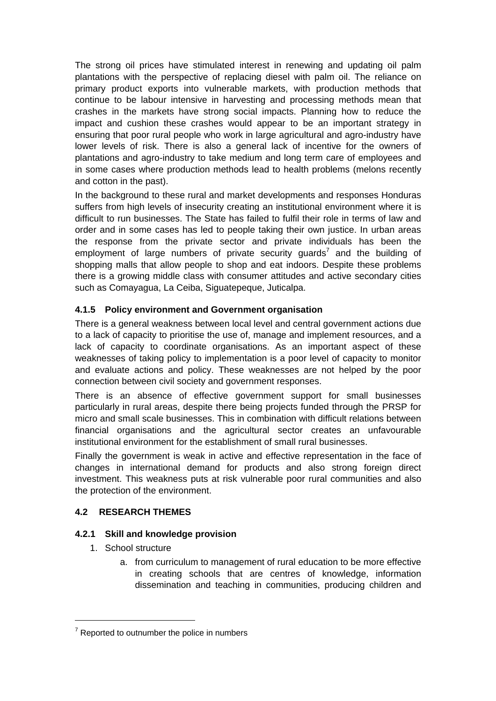The strong oil prices have stimulated interest in renewing and updating oil palm plantations with the perspective of replacing diesel with palm oil. The reliance on primary product exports into vulnerable markets, with production methods that continue to be labour intensive in harvesting and processing methods mean that crashes in the markets have strong social impacts. Planning how to reduce the impact and cushion these crashes would appear to be an important strategy in ensuring that poor rural people who work in large agricultural and agro-industry have lower levels of risk. There is also a general lack of incentive for the owners of plantations and agro-industry to take medium and long term care of employees and in some cases where production methods lead to health problems (melons recently and cotton in the past).

In the background to these rural and market developments and responses Honduras suffers from high levels of insecurity creating an institutional environment where it is difficult to run businesses. The State has failed to fulfil their role in terms of law and order and in some cases has led to people taking their own justice. In urban areas the response from the private sector and private individuals has been the employment of large numbers of private security guards<sup>7</sup> and the building of shopping malls that allow people to shop and eat indoors. Despite these problems there is a growing middle class with consumer attitudes and active secondary cities such as Comayagua, La Ceiba, Siguatepeque, Juticalpa.

## **4.1.5 Policy environment and Government organisation**

There is a general weakness between local level and central government actions due to a lack of capacity to prioritise the use of, manage and implement resources, and a lack of capacity to coordinate organisations. As an important aspect of these weaknesses of taking policy to implementation is a poor level of capacity to monitor and evaluate actions and policy. These weaknesses are not helped by the poor connection between civil society and government responses.

There is an absence of effective government support for small businesses particularly in rural areas, despite there being projects funded through the PRSP for micro and small scale businesses. This in combination with difficult relations between financial organisations and the agricultural sector creates an unfavourable institutional environment for the establishment of small rural businesses.

Finally the government is weak in active and effective representation in the face of changes in international demand for products and also strong foreign direct investment. This weakness puts at risk vulnerable poor rural communities and also the protection of the environment.

### **4.2 RESEARCH THEMES**

### **4.2.1 Skill and knowledge provision**

- 1. School structure
	- a. from curriculum to management of rural education to be more effective in creating schools that are centres of knowledge, information dissemination and teaching in communities, producing children and

 $\overline{7}$  $7$  Reported to outnumber the police in numbers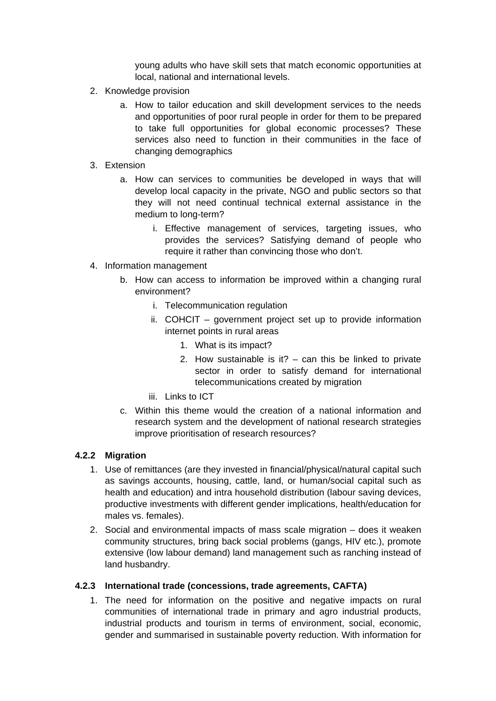young adults who have skill sets that match economic opportunities at local, national and international levels.

- 2. Knowledge provision
	- a. How to tailor education and skill development services to the needs and opportunities of poor rural people in order for them to be prepared to take full opportunities for global economic processes? These services also need to function in their communities in the face of changing demographics
- 3. Extension
	- a. How can services to communities be developed in ways that will develop local capacity in the private, NGO and public sectors so that they will not need continual technical external assistance in the medium to long-term?
		- i. Effective management of services, targeting issues, who provides the services? Satisfying demand of people who require it rather than convincing those who don't.
- 4. Information management
	- b. How can access to information be improved within a changing rural environment?
		- i. Telecommunication regulation
		- ii. COHCIT government project set up to provide information internet points in rural areas
			- 1. What is its impact?
			- 2. How sustainable is it?  $-$  can this be linked to private sector in order to satisfy demand for international telecommunications created by migration
		- iii. Links to ICT
	- c. Within this theme would the creation of a national information and research system and the development of national research strategies improve prioritisation of research resources?

#### **4.2.2 Migration**

- 1. Use of remittances (are they invested in financial/physical/natural capital such as savings accounts, housing, cattle, land, or human/social capital such as health and education) and intra household distribution (labour saving devices, productive investments with different gender implications, health/education for males vs. females).
- 2. Social and environmental impacts of mass scale migration does it weaken community structures, bring back social problems (gangs, HIV etc.), promote extensive (low labour demand) land management such as ranching instead of land husbandry.

#### **4.2.3 International trade (concessions, trade agreements, CAFTA)**

1. The need for information on the positive and negative impacts on rural communities of international trade in primary and agro industrial products, industrial products and tourism in terms of environment, social, economic, gender and summarised in sustainable poverty reduction. With information for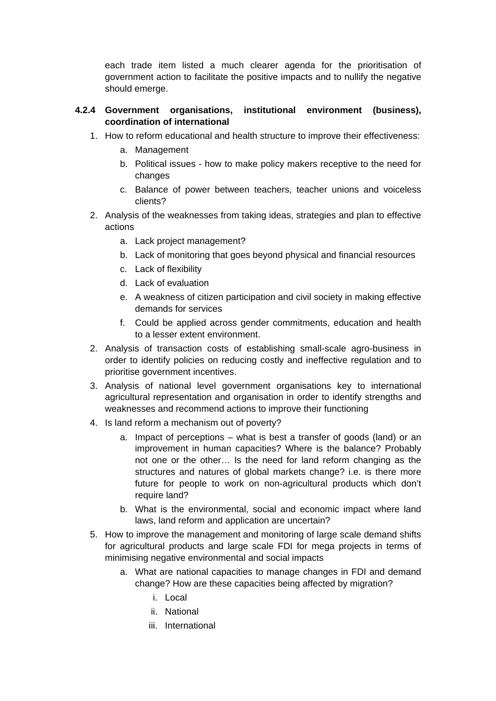each trade item listed a much clearer agenda for the prioritisation of government action to facilitate the positive impacts and to nullify the negative should emerge.

## **4.2.4 Government organisations, institutional environment (business), coordination of international**

- 1. How to reform educational and health structure to improve their effectiveness:
	- a. Management
	- b. Political issues how to make policy makers receptive to the need for changes
	- c. Balance of power between teachers, teacher unions and voiceless clients?
- 2. Analysis of the weaknesses from taking ideas, strategies and plan to effective actions
	- a. Lack project management?
	- b. Lack of monitoring that goes beyond physical and financial resources
	- c. Lack of flexibility
	- d. Lack of evaluation
	- e. A weakness of citizen participation and civil society in making effective demands for services
	- f. Could be applied across gender commitments, education and health to a lesser extent environment.
- 2. Analysis of transaction costs of establishing small-scale agro-business in order to identify policies on reducing costly and ineffective regulation and to prioritise government incentives.
- 3. Analysis of national level government organisations key to international agricultural representation and organisation in order to identify strengths and weaknesses and recommend actions to improve their functioning
- 4. Is land reform a mechanism out of poverty?
	- a. Impact of perceptions what is best a transfer of goods (land) or an improvement in human capacities? Where is the balance? Probably not one or the other… Is the need for land reform changing as the structures and natures of global markets change? i.e. is there more future for people to work on non-agricultural products which don't require land?
	- b. What is the environmental, social and economic impact where land laws, land reform and application are uncertain?
- 5. How to improve the management and monitoring of large scale demand shifts for agricultural products and large scale FDI for mega projects in terms of minimising negative environmental and social impacts
	- a. What are national capacities to manage changes in FDI and demand change? How are these capacities being affected by migration?
		- i. Local
		- ii. National
		- iii. International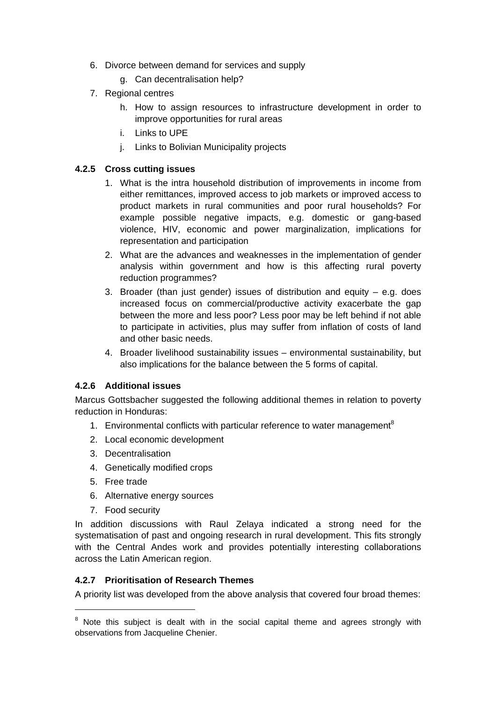- 6. Divorce between demand for services and supply
	- g. Can decentralisation help?
- 7. Regional centres
	- h. How to assign resources to infrastructure development in order to improve opportunities for rural areas
	- i. Links to UPE
	- j. Links to Bolivian Municipality projects

#### **4.2.5 Cross cutting issues**

- 1. What is the intra household distribution of improvements in income from either remittances, improved access to job markets or improved access to product markets in rural communities and poor rural households? For example possible negative impacts, e.g. domestic or gang-based violence, HIV, economic and power marginalization, implications for representation and participation
- 2. What are the advances and weaknesses in the implementation of gender analysis within government and how is this affecting rural poverty reduction programmes?
- 3. Broader (than just gender) issues of distribution and equity e.g. does increased focus on commercial/productive activity exacerbate the gap between the more and less poor? Less poor may be left behind if not able to participate in activities, plus may suffer from inflation of costs of land and other basic needs.
- 4. Broader livelihood sustainability issues environmental sustainability, but also implications for the balance between the 5 forms of capital.

#### **4.2.6 Additional issues**

Marcus Gottsbacher suggested the following additional themes in relation to poverty reduction in Honduras:

- 1. Environmental conflicts with particular reference to water management $8$
- 2. Local economic development
- 3. Decentralisation
- 4. Genetically modified crops
- 5. Free trade
- 6. Alternative energy sources
- 7. Food security

In addition discussions with Raul Zelaya indicated a strong need for the systematisation of past and ongoing research in rural development. This fits strongly with the Central Andes work and provides potentially interesting collaborations across the Latin American region.

#### **4.2.7 Prioritisation of Research Themes**

A priority list was developed from the above analysis that covered four broad themes:

 $\overline{8}$  $8$  Note this subject is dealt with in the social capital theme and agrees strongly with observations from Jacqueline Chenier.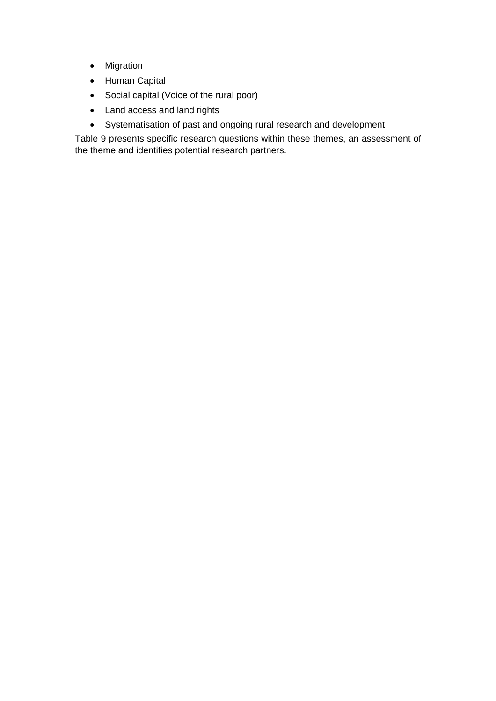- Migration
- Human Capital
- Social capital (Voice of the rural poor)
- Land access and land rights
- Systematisation of past and ongoing rural research and development

Table 9 presents specific research questions within these themes, an assessment of the theme and identifies potential research partners.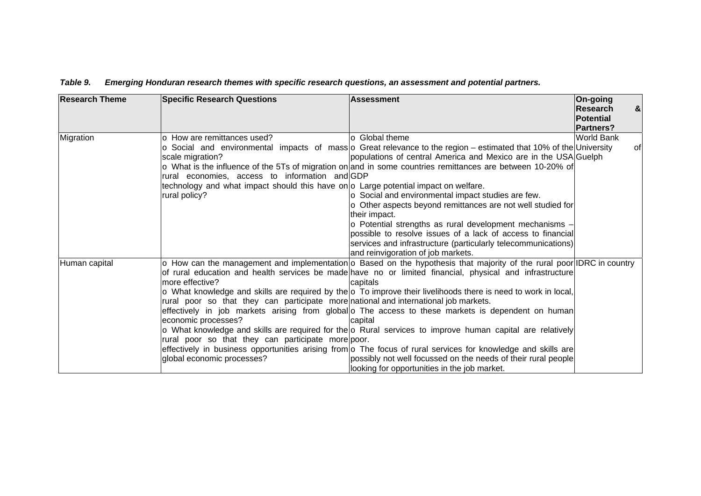| <b>Research Theme</b> | <b>Specific Research Questions</b>                                                                         | Assessment                                                                                                                                                                                                                                                 | On-going<br>Research                 | $\boldsymbol{\alpha}$ |
|-----------------------|------------------------------------------------------------------------------------------------------------|------------------------------------------------------------------------------------------------------------------------------------------------------------------------------------------------------------------------------------------------------------|--------------------------------------|-----------------------|
|                       |                                                                                                            |                                                                                                                                                                                                                                                            | <b>Potential</b><br><b>Partners?</b> |                       |
| Migration             | o How are remittances used?                                                                                | o Global theme                                                                                                                                                                                                                                             | World Bank                           |                       |
|                       | scale migration?                                                                                           | $\circ$ Social and environmental impacts of mass $\circ$ Great relevance to the region – estimated that 10% of the University<br>populations of central America and Mexico are in the USA Guelph                                                           |                                      | of                    |
|                       | rural economies, access to information and GDP                                                             | $\circ$ What is the influence of the 5Ts of migration on and in some countries remittances are between 10-20% of                                                                                                                                           |                                      |                       |
|                       | technology and what impact should this have on $\circ$ Large potential impact on welfare.<br>rural policy? | $\circ$ Social and environmental impact studies are few.                                                                                                                                                                                                   |                                      |                       |
|                       |                                                                                                            | o Other aspects beyond remittances are not well studied for<br>their impact.                                                                                                                                                                               |                                      |                       |
|                       |                                                                                                            | $\circ$ Potential strengths as rural development mechanisms -                                                                                                                                                                                              |                                      |                       |
|                       |                                                                                                            | possible to resolve issues of a lack of access to financial                                                                                                                                                                                                |                                      |                       |
|                       |                                                                                                            | services and infrastructure (particularly telecommunications)<br>and reinvigoration of job markets.                                                                                                                                                        |                                      |                       |
| Human capital         | more effective?                                                                                            | $\circ$ How can the management and implementation $\circ$ Based on the hypothesis that majority of the rural poor IDRC in country<br>of rural education and health services be made have no or limited financial, physical and infrastructure <br>capitals |                                      |                       |
|                       |                                                                                                            | o What knowledge and skills are required by the $  \circ \texttt{T}$ o improve their livelihoods there is need to work in local,                                                                                                                           |                                      |                       |
|                       | rural poor so that they can participate more national and international job markets.                       |                                                                                                                                                                                                                                                            |                                      |                       |
|                       |                                                                                                            | effectively in job markets arising from global $\circ$ The access to these markets is dependent on human                                                                                                                                                   |                                      |                       |
|                       | economic processes?                                                                                        | capital                                                                                                                                                                                                                                                    |                                      |                       |
|                       |                                                                                                            | $\circ$ What knowledge and skills are required for the $\circ$ Rural services to improve human capital are relatively                                                                                                                                      |                                      |                       |
|                       | rural poor so that they can participate more poor.                                                         |                                                                                                                                                                                                                                                            |                                      |                       |
|                       |                                                                                                            | effectively in business opportunities arising from o The focus of rural services for knowledge and skills are                                                                                                                                              |                                      |                       |
|                       | global economic processes?                                                                                 | possibly not well focussed on the needs of their rural people<br>looking for opportunities in the job market.                                                                                                                                              |                                      |                       |

#### *Table 9. Emerging Honduran research themes with specific research questions, an assessment and potential partners.*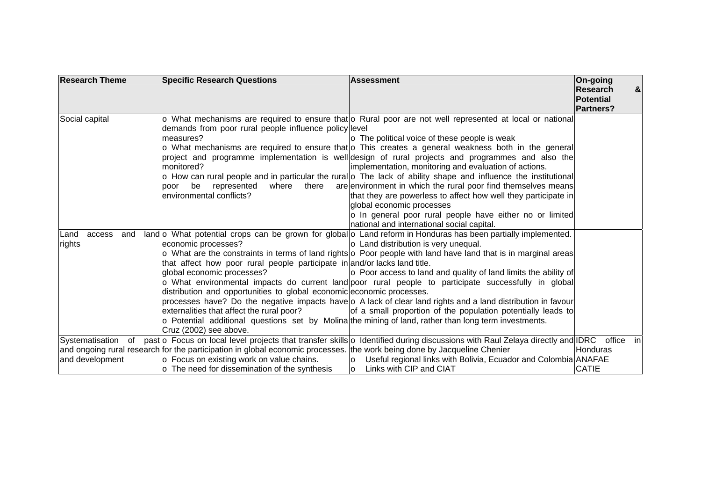| <b>Research Theme</b>           | <b>Specific Research Questions</b>                                                                                                                                                                                                                                             | <b>Assessment</b>                                                                                                                                                                                                                                                                                                                                                                                                                                                                                                                                                                                                                                                                                                                                                                                                                                                    | On-going<br>Research<br>$\boldsymbol{\alpha}$<br>Potential<br><b>Partners?</b> |
|---------------------------------|--------------------------------------------------------------------------------------------------------------------------------------------------------------------------------------------------------------------------------------------------------------------------------|----------------------------------------------------------------------------------------------------------------------------------------------------------------------------------------------------------------------------------------------------------------------------------------------------------------------------------------------------------------------------------------------------------------------------------------------------------------------------------------------------------------------------------------------------------------------------------------------------------------------------------------------------------------------------------------------------------------------------------------------------------------------------------------------------------------------------------------------------------------------|--------------------------------------------------------------------------------|
| Social capital                  | demands from poor rural people influence policy level<br>measures?<br>monitored?<br>be<br>represented<br>where<br>there<br>poor<br>lenvironmental conflicts?                                                                                                                   | $\circ$ What mechanisms are required to ensure that $\circ$ Rural poor are not well represented at local or national<br>$\circ$ The political voice of these people is weak<br>$\circ$ What mechanisms are required to ensure that $\circ$ This creates a general weakness both in the general<br>project and programme implementation is well design of rural projects and programmes and also the<br>implementation, monitoring and evaluation of actions.<br>$\circ$ How can rural people and in particular the rural $\circ$ The lack of ability shape and influence the institutional<br>are environment in which the rural poor find themselves means<br>that they are powerless to affect how well they participate in<br>global economic processes<br>o In general poor rural people have either no or limited<br>national and international social capital. |                                                                                |
| Land<br>access<br>and<br>rights | economic processes?<br>that affect how poor rural people participate in and/or lacks land title.<br>global economic processes?<br>distribution and opportunities to global economic economic processes.<br>externalities that affect the rural poor?<br>Cruz (2002) see above. | land $\circ$ What potential crops can be grown for global $\circ$ Land reform in Honduras has been partially implemented.<br>$\circ$ Land distribution is very unequal.<br>$\circ$ What are the constraints in terms of land rights $\circ$ Poor people with land have land that is in marginal areas<br>$\circ$ Poor access to land and quality of land limits the ability of<br>o What environmental impacts do current land poor rural people to participate successfully in global<br>processes have? Do the negative impacts have $\circ$ A lack of clear land rights and a land distribution in favour<br>of a small proportion of the population potentially leads to<br>$\circ$ Potential additional questions set by Molina the mining of land, rather than long term investments.                                                                          |                                                                                |
| and development                 | and ongoing rural research for the participation in global economic processes. the work being done by Jacqueline Chenier<br>o Focus on existing work on value chains.<br>$\circ$ The need for dissemination of the synthesis                                                   | Systematisation of past ⊙ Focus on local level projects that transfer skills ⊙ Identified during discussions with Raul Zelaya directly and IDRC office in <br> ○ Useful regional links with Bolivia, Ecuador and Colombia ANAFAE<br>Links with CIP and CIAT<br>$\circ$                                                                                                                                                                                                                                                                                                                                                                                                                                                                                                                                                                                               | lHonduras<br><b>CATIE</b>                                                      |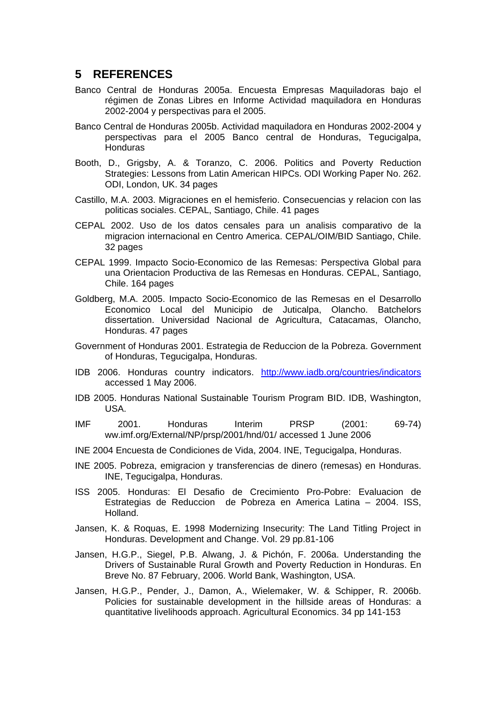### **5 REFERENCES**

- Banco Central de Honduras 2005a. Encuesta Empresas Maquiladoras bajo el régimen de Zonas Libres en Informe Actividad maquiladora en Honduras 2002-2004 y perspectivas para el 2005.
- Banco Central de Honduras 2005b. Actividad maquiladora en Honduras 2002-2004 y perspectivas para el 2005 Banco central de Honduras, Tegucigalpa, Honduras
- Booth, D., Grigsby, A. & Toranzo, C. 2006. Politics and Poverty Reduction Strategies: Lessons from Latin American HIPCs. ODI Working Paper No. 262. ODI, London, UK. 34 pages
- Castillo, M.A. 2003. Migraciones en el hemisferio. Consecuencias y relacion con las politicas sociales. CEPAL, Santiago, Chile. 41 pages
- CEPAL 2002. Uso de los datos censales para un analisis comparativo de la migracion internacional en Centro America. CEPAL/OIM/BID Santiago, Chile. 32 pages
- CEPAL 1999. Impacto Socio-Economico de las Remesas: Perspectiva Global para una Orientacion Productiva de las Remesas en Honduras. CEPAL, Santiago, Chile. 164 pages
- Goldberg, M.A. 2005. Impacto Socio-Economico de las Remesas en el Desarrollo Economico Local del Municipio de Juticalpa, Olancho. Batchelors dissertation. Universidad Nacional de Agricultura, Catacamas, Olancho, Honduras. 47 pages
- Government of Honduras 2001. Estrategia de Reduccion de la Pobreza. Government of Honduras, Tegucigalpa, Honduras.
- IDB 2006. Honduras country indicators. http://www.iadb.org/countries/indicators accessed 1 May 2006.
- IDB 2005. Honduras National Sustainable Tourism Program BID. IDB, Washington, USA.
- IMF 2001. Honduras Interim PRSP (2001: 69-74) ww.imf.org/External/NP/prsp/2001/hnd/01/ accessed 1 June 2006
- INE 2004 Encuesta de Condiciones de Vida, 2004. INE, Tegucigalpa, Honduras.
- INE 2005. Pobreza, emigracion y transferencias de dinero (remesas) en Honduras. INE, Tegucigalpa, Honduras.
- ISS 2005. Honduras: El Desafio de Crecimiento Pro-Pobre: Evaluacion de Estrategias de Reduccion de Pobreza en America Latina – 2004. ISS, Holland.
- Jansen, K. & Roquas, E. 1998 Modernizing Insecurity: The Land Titling Project in Honduras. Development and Change. Vol. 29 pp.81-106
- Jansen, H.G.P., Siegel, P.B. Alwang, J. & Pichón, F. 2006a. Understanding the Drivers of Sustainable Rural Growth and Poverty Reduction in Honduras. En Breve No. 87 February, 2006. World Bank, Washington, USA.
- Jansen, H.G.P., Pender, J., Damon, A., Wielemaker, W. & Schipper, R. 2006b. Policies for sustainable development in the hillside areas of Honduras: a quantitative livelihoods approach. Agricultural Economics. 34 pp 141-153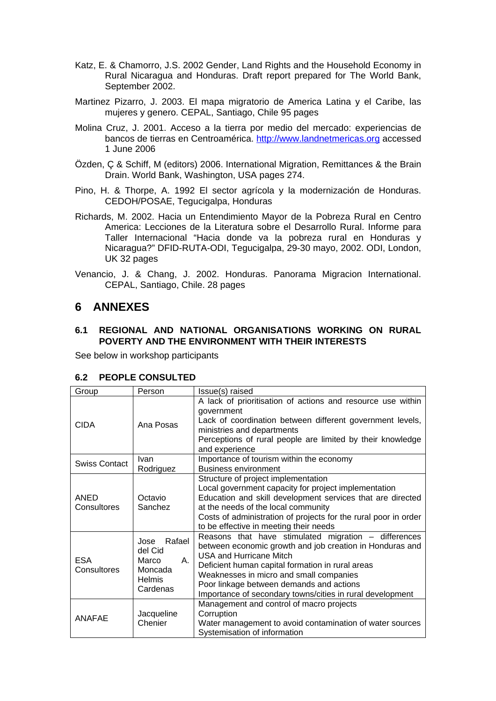- Katz, E. & Chamorro, J.S. 2002 Gender, Land Rights and the Household Economy in Rural Nicaragua and Honduras. Draft report prepared for The World Bank, September 2002.
- Martinez Pizarro, J. 2003. El mapa migratorio de America Latina y el Caribe, las mujeres y genero. CEPAL, Santiago, Chile 95 pages
- Molina Cruz, J. 2001. Acceso a la tierra por medio del mercado: experiencias de bancos de tierras en Centroamérica. http://www.landnetmericas.org accessed 1 June 2006
- Özden, Ç & Schiff, M (editors) 2006. International Migration, Remittances & the Brain Drain. World Bank, Washington, USA pages 274.
- Pino, H. & Thorpe, A. 1992 El sector agrícola y la modernización de Honduras. CEDOH/POSAE, Tegucigalpa, Honduras
- Richards, M. 2002. Hacia un Entendimiento Mayor de la Pobreza Rural en Centro America: Lecciones de la Literatura sobre el Desarrollo Rural. Informe para Taller Internacional "Hacia donde va la pobreza rural en Honduras y Nicaragua?" DFID-RUTA-ODI, Tegucigalpa, 29-30 mayo, 2002. ODI, London, UK 32 pages
- Venancio, J. & Chang, J. 2002. Honduras. Panorama Migracion International. CEPAL, Santiago, Chile. 28 pages

# **6 ANNEXES**

#### **6.1 REGIONAL AND NATIONAL ORGANISATIONS WORKING ON RURAL POVERTY AND THE ENVIRONMENT WITH THEIR INTERESTS**

See below in workshop participants

| Group                     | Person                                                                           | Issue(s) raised                                                                                                                                                                                                                                                                                                                                            |
|---------------------------|----------------------------------------------------------------------------------|------------------------------------------------------------------------------------------------------------------------------------------------------------------------------------------------------------------------------------------------------------------------------------------------------------------------------------------------------------|
| <b>CIDA</b>               | Ana Posas                                                                        | A lack of prioritisation of actions and resource use within<br>government<br>Lack of coordination between different government levels,<br>ministries and departments<br>Perceptions of rural people are limited by their knowledge<br>and experience                                                                                                       |
| <b>Swiss Contact</b>      | Ivan<br>Rodriguez                                                                | Importance of tourism within the economy<br><b>Business environment</b>                                                                                                                                                                                                                                                                                    |
| ANED<br>Consultores       | Octavio<br>Sanchez                                                               | Structure of project implementation<br>Local government capacity for project implementation<br>Education and skill development services that are directed<br>at the needs of the local community<br>Costs of administration of projects for the rural poor in order<br>to be effective in meeting their needs                                              |
| <b>ESA</b><br>Consultores | Rafael<br>Jose<br>del Cid<br>Marco<br>А.<br>Moncada<br><b>Helmis</b><br>Cardenas | Reasons that have stimulated migration - differences<br>between economic growth and job creation in Honduras and<br><b>USA and Hurricane Mitch</b><br>Deficient human capital formation in rural areas<br>Weaknesses in micro and small companies<br>Poor linkage between demands and actions<br>Importance of secondary towns/cities in rural development |
| <b>ANAFAE</b>             | Jacqueline<br>Chenier                                                            | Management and control of macro projects<br>Corruption<br>Water management to avoid contamination of water sources<br>Systemisation of information                                                                                                                                                                                                         |

#### **6.2 PEOPLE CONSULTED**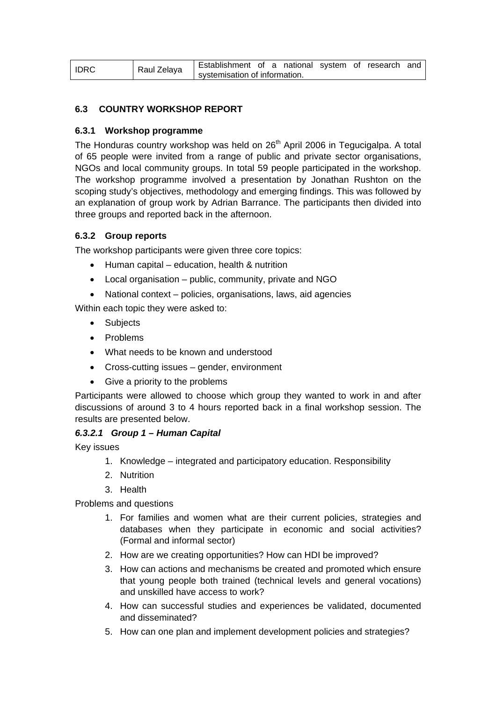| <b>IDRC</b> | Raul Zelaya | Establishment of a national system of research and |  |  |  |  |
|-------------|-------------|----------------------------------------------------|--|--|--|--|
|             |             | systemisation of information.                      |  |  |  |  |

#### **6.3 COUNTRY WORKSHOP REPORT**

#### **6.3.1 Workshop programme**

The Honduras country workshop was held on 26<sup>th</sup> April 2006 in Tegucigalpa. A total of 65 people were invited from a range of public and private sector organisations, NGOs and local community groups. In total 59 people participated in the workshop. The workshop programme involved a presentation by Jonathan Rushton on the scoping study's objectives, methodology and emerging findings. This was followed by an explanation of group work by Adrian Barrance. The participants then divided into three groups and reported back in the afternoon.

#### **6.3.2 Group reports**

The workshop participants were given three core topics:

- Human capital education, health & nutrition
- Local organisation public, community, private and NGO
- National context policies, organisations, laws, aid agencies

Within each topic they were asked to:

- Subjects
- Problems
- What needs to be known and understood
- Cross-cutting issues gender, environment
- Give a priority to the problems

Participants were allowed to choose which group they wanted to work in and after discussions of around 3 to 4 hours reported back in a final workshop session. The results are presented below.

#### *6.3.2.1 Group 1 – Human Capital*

Key issues

- 1. Knowledge integrated and participatory education. Responsibility
- 2. Nutrition
- 3. Health

Problems and questions

- 1. For families and women what are their current policies, strategies and databases when they participate in economic and social activities? (Formal and informal sector)
- 2. How are we creating opportunities? How can HDI be improved?
- 3. How can actions and mechanisms be created and promoted which ensure that young people both trained (technical levels and general vocations) and unskilled have access to work?
- 4. How can successful studies and experiences be validated, documented and disseminated?
- 5. How can one plan and implement development policies and strategies?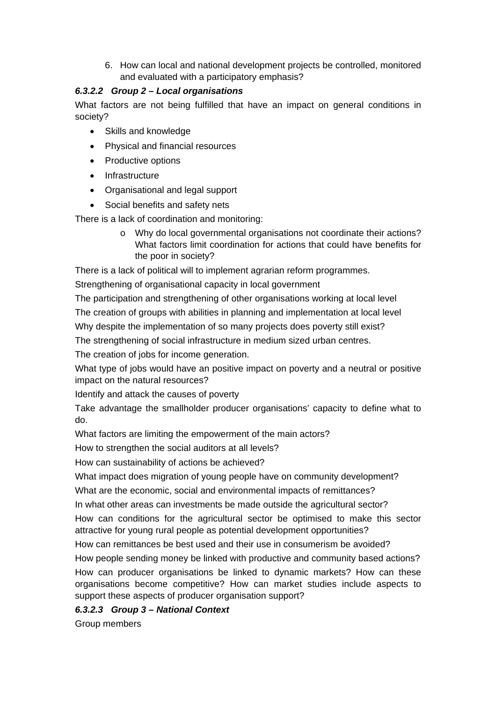6. How can local and national development projects be controlled, monitored and evaluated with a participatory emphasis?

### *6.3.2.2 Group 2 – Local organisations*

What factors are not being fulfilled that have an impact on general conditions in society?

- Skills and knowledge
- Physical and financial resources
- Productive options
- Infrastructure
- Organisational and legal support
- Social benefits and safety nets

There is a lack of coordination and monitoring:

o Why do local governmental organisations not coordinate their actions? What factors limit coordination for actions that could have benefits for the poor in society?

There is a lack of political will to implement agrarian reform programmes.

Strengthening of organisational capacity in local government

The participation and strengthening of other organisations working at local level

The creation of groups with abilities in planning and implementation at local level

Why despite the implementation of so many projects does poverty still exist?

The strengthening of social infrastructure in medium sized urban centres.

The creation of jobs for income generation.

What type of jobs would have an positive impact on poverty and a neutral or positive impact on the natural resources?

Identify and attack the causes of poverty

Take advantage the smallholder producer organisations' capacity to define what to do.

What factors are limiting the empowerment of the main actors?

How to strengthen the social auditors at all levels?

How can sustainability of actions be achieved?

What impact does migration of young people have on community development?

What are the economic, social and environmental impacts of remittances?

In what other areas can investments be made outside the agricultural sector?

How can conditions for the agricultural sector be optimised to make this sector attractive for young rural people as potential development opportunities?

How can remittances be best used and their use in consumerism be avoided?

How people sending money be linked with productive and community based actions? How can producer organisations be linked to dynamic markets? How can these organisations become competitive? How can market studies include aspects to support these aspects of producer organisation support?

### *6.3.2.3 Group 3 – National Context*

Group members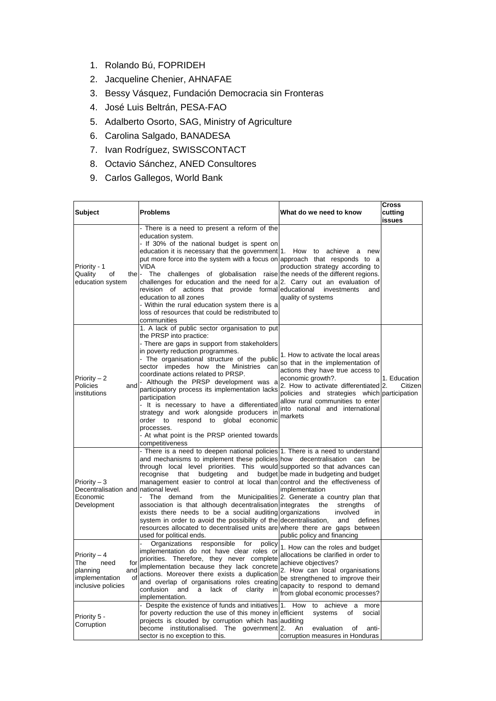- 1. Rolando Bú, FOPRIDEH
- 2. Jacqueline Chenier, AHNAFAE
- 3. Bessy Vásquez, Fundación Democracia sin Fronteras
- 4. José Luis Beltrán, PESA-FAO
- 5. Adalberto Osorto, SAG, Ministry of Agriculture
- 6. Carolina Salgado, BANADESA
- 7. Ivan Rodríguez, SWISSCONTACT
- 8. Octavio Sánchez, ANED Consultores
- 9. Carlos Gallegos, World Bank

| <b>Subject</b>                                                                                      | <b>Problems</b>                                                                                                                                                                                                                                                                                                                                                                                                                                                                                                                                                                                                                                                                       | What do we need to know                                                                                                                                                                                                                                                                                  | Cross<br>cutting<br>issues |
|-----------------------------------------------------------------------------------------------------|---------------------------------------------------------------------------------------------------------------------------------------------------------------------------------------------------------------------------------------------------------------------------------------------------------------------------------------------------------------------------------------------------------------------------------------------------------------------------------------------------------------------------------------------------------------------------------------------------------------------------------------------------------------------------------------|----------------------------------------------------------------------------------------------------------------------------------------------------------------------------------------------------------------------------------------------------------------------------------------------------------|----------------------------|
| Priority - 1<br>Quality<br>οf<br>the l-<br>education system                                         | There is a need to present a reform of the<br>education system.<br>- If 30% of the national budget is spent on<br>education it is necessary that the government 1. How to<br>put more force into the system with a focus on approach that responds to a<br><b>VIDA</b><br>The<br>challenges of globalisation raise the needs of the different regions.<br>challenges for education and the need for $a/2$ . Carry out an evaluation of<br>revision of actions that provide formal educational<br>education to all zones<br>- Within the rural education system there is a<br>loss of resources that could be redistributed to<br>communities                                          | achieve a<br>new<br>production strategy according to<br>investments<br>and<br>quality of systems                                                                                                                                                                                                         |                            |
| Priority $-2$<br>and<br><b>Policies</b><br>institutions                                             | 1. A lack of public sector organisation to put<br>the PRSP into practice:<br>- There are gaps in support from stakeholders<br>in poverty reduction programmes.<br>- The organisational structure of the public<br>sector impedes how the Ministries can<br>coordinate actions related to PRSP.<br>- Although the PRSP development was a<br>participatory process its implementation lacks<br>participation<br>- It is necessary to have a differentiated<br>strategy and work alongside producers in<br>order to respond to global<br>economic<br>processes.<br>- At what point is the PRSP oriented towards<br>competitiveness                                                       | 1. How to activate the local areas<br>so that in the implementation of<br>actions they have true access to<br>economic growth?.<br>2. How to activate differentiated 2.<br>policies and strategies which participation<br>allow rural communities to enter<br>into national and international<br>markets | 1. Education<br>Citizen    |
| Priority $-3$<br>Decentralisation and national level.<br>Economic<br>Development                    | - There is a need to deepen national policies 1. There is a need to understand<br>and mechanisms to implement these policies how decentralisation<br>through local level priorities. This would supported so that advances can<br>recognise<br>budgeting<br>that<br>and<br>management easier to control at local than control and the effectiveness of<br>The demand from the<br>association is that although decentralisation integrates<br>exists there needs to be a social auditing organizations<br>system in order to avoid the possibility of the decentralisation,<br>resources allocated to decentralised units are where there are gaps between<br>used for political ends. | can<br>be<br>budget be made in budgeting and budget<br>implementation<br>Municipalities 2. Generate a country plan that<br>the<br>strengths<br>οf<br>involved<br>in<br>defines<br>and<br>public policy and financing                                                                                     |                            |
| Priority – 4<br>for<br>The<br>need<br>and<br>planning<br>implementation<br>of<br>inclusive policies | Organizations<br>responsible<br>for<br>policy<br>implementation do not have clear roles or<br>priorities. Therefore, they never complete<br>implementation because they lack concrete<br>actions. Moreover there exists a duplication<br>and overlap of organisations roles creating<br>confusion<br>and<br>lack<br>of<br>clarity<br>a<br>in<br>implementation.                                                                                                                                                                                                                                                                                                                       | 1. How can the roles and budget<br>allocations be clarified in order to<br>achieve objectives?<br>2. How can local organisations<br>be strengthened to improve their<br>capacity to respond to demand<br>from global economic processes?                                                                 |                            |
| Priority 5 -<br>Corruption                                                                          | - Despite the existence of funds and initiatives 1. How<br>for poverty reduction the use of this money in efficient<br>projects is clouded by corruption which has auditing<br>become institutionalised. The government 2.<br>sector is no exception to this.                                                                                                                                                                                                                                                                                                                                                                                                                         | to achieve a more<br>systems<br>social<br>οf<br>An<br>evaluation<br>οf<br>anti-<br>corruption measures in Honduras                                                                                                                                                                                       |                            |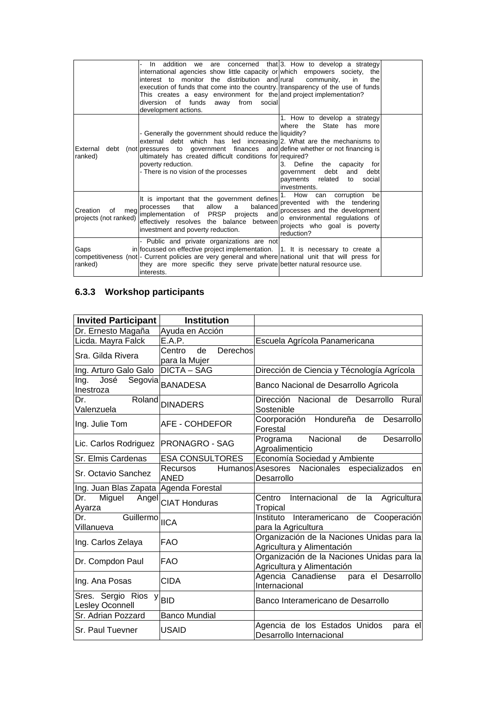|                                         | In addition we are concerned that $ 3$ . How to develop a strategy<br>international agencies show little capacity or which empowers society, the<br>interest to monitor the distribution and rural<br>execution of funds that come into the country. transparency of the use of funds<br>This creates a easy environment for the and project implementation?<br>diversion of funds away from<br>social<br>development actions. | community.<br>in<br>the                                                                                                                                                            |  |
|-----------------------------------------|--------------------------------------------------------------------------------------------------------------------------------------------------------------------------------------------------------------------------------------------------------------------------------------------------------------------------------------------------------------------------------------------------------------------------------|------------------------------------------------------------------------------------------------------------------------------------------------------------------------------------|--|
| ranked)                                 | - Generally the government should reduce the liquidity?<br>external debt which has led increasing $ 2$ . What are the mechanisms to<br>External debt (not pressures to government finances and define whether or not financing is<br>ultimately has created difficult conditions for required?<br>poverty reduction.<br>- There is no vision of the processes                                                                  | 1. How to develop a strategy<br>where the State has more<br>3. Define<br>the capacity for<br>debt<br>and<br>debt<br>aovernment<br>payments related<br>social<br>to<br>investments. |  |
| Creation<br>οf<br>projects (not ranked) | It is important that the government defines<br>meg processes that allow a balanced<br>lead limplementation of PRSP projects and<br>effectively resolves the balance between<br>investment and poverty reduction.                                                                                                                                                                                                               | corruption<br>bel<br>1. How can<br>prevented with the tendering<br>processes and the development<br>o environmental regulations of<br>projects who goal is poverty<br>reduction?   |  |
| Gaps<br>ranked)                         | Public and private organizations are not<br>in focussed on effective project implementation.   1. It is necessary to create a<br>competitiveness (not)- Current policies are very general and where national unit that will press for<br>they are more specific they serve private better natural resource use.<br>linterests.                                                                                                 |                                                                                                                                                                                    |  |

# **6.3.3 Workshop participants**

| Invited Participant                                                                       | <b>Institution</b>                        |                                                                          |
|-------------------------------------------------------------------------------------------|-------------------------------------------|--------------------------------------------------------------------------|
| Dr. Ernesto Magaña                                                                        | Ayuda en Acción                           |                                                                          |
| Licda. Mayra Falck                                                                        | E.A.P.                                    | Escuela Agrícola Panamericana                                            |
| Sra. Gilda Rivera                                                                         | Derechos<br>de<br>Centro<br>para la Mujer |                                                                          |
| Ing. Arturo Galo Galo                                                                     | <b>DICTA - SAG</b>                        | Dirección de Ciencia y Técnología Agrícola                               |
| Ing.<br>José<br>Inestroza                                                                 | Segovia BANADESA                          | Banco Nacional de Desarrollo Agricola                                    |
| Roland<br>Dr.<br>Valenzuela                                                               | <b>DINADERS</b>                           | Dirección Nacional de Desarrollo Rural<br>Sostenible                     |
| Ing. Julie Tom                                                                            | AFE - COHDEFOR                            | Coorporación Hondureña de<br>Desarrollo<br>Forestal                      |
| Lic. Carlos Rodriguez                                                                     | <b>PRONAGRO - SAG</b>                     | Programa Nacional<br>de<br>Desarrollo<br>Agroalimenticio                 |
| Sr. Elmis Cardenas                                                                        | <b>ESA CONSULTORES</b>                    | Economía Sociedad y Ambiente                                             |
| Sr. Octavio Sanchez                                                                       | Recursos<br><b>ANED</b>                   | Humanos Asesores Nacionales especializados<br>en<br>Desarrollo           |
| Ing. Juan Blas Zapata Agenda Forestal                                                     |                                           |                                                                          |
| Miguel<br>Dr.<br><u>Ayarza</u>                                                            | Angel CIAT Honduras                       | Internacional<br>Centro<br>de<br>Agricultura<br>la<br>Tropical           |
| GuillermolIICA<br>Dr.<br>Villanueva                                                       |                                           | Instituto Interamericano de Cooperación<br>para la Agricultura           |
| Ing. Carlos Zelaya                                                                        | <b>FAO</b>                                | Organización de la Naciones Unidas para la<br>Agricultura y Alimentación |
| Dr. Compdon Paul                                                                          | <b>FAO</b>                                | Organización de la Naciones Unidas para la<br>Agricultura y Alimentación |
| Ing. Ana Posas                                                                            | <b>CIDA</b>                               | Agencia Canadiense para el Desarrollo<br>Internacional                   |
| $\overline{\text{Sres.} \ \text{Sergio} \ \text{Rios} \ \text{y}}$ BID<br>Lesley Oconnell |                                           | Banco Interamericano de Desarrollo                                       |
| Sr. Adrian Pozzard                                                                        | <b>Banco Mundial</b>                      |                                                                          |
| Sr. Paul Tuevner                                                                          | <b>USAID</b>                              | Agencia de los Estados Unidos<br>para el<br>Desarrollo Internacional     |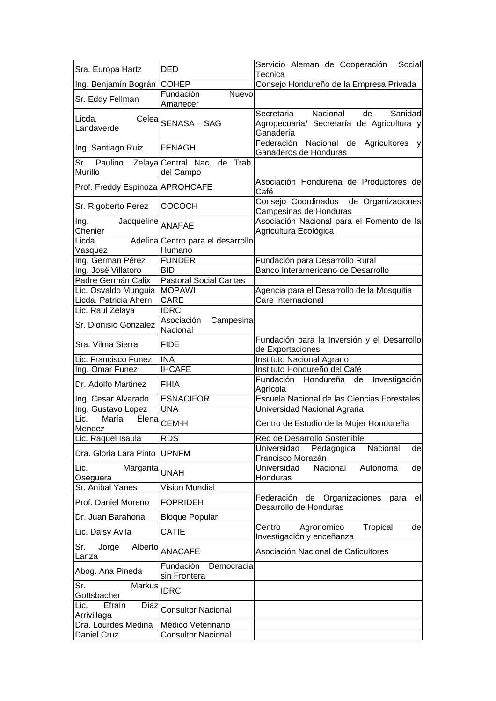| Sra. Europa Hartz                             | DED                                         | Servicio Aleman de Cooperación<br>Social<br>Tecnica                                               |
|-----------------------------------------------|---------------------------------------------|---------------------------------------------------------------------------------------------------|
| Ing. Benjamín Bográn COHEP                    |                                             | Consejo Hondureño de la Empresa Privada                                                           |
| Sr. Eddy Fellman                              | Nuevo<br>Fundación<br>Amanecer              |                                                                                                   |
| Licda.<br>Landaverde                          | Celea SENASA - SAG                          | Nacional<br>Secretaria<br>de<br>Sanidad<br>Agropecuaria/ Secretaría de Agricultura y<br>Ganadería |
| Ing. Santiago Ruiz                            | FENAGH                                      | Nacional<br>Federación<br>de Agricultores<br>y<br>Ganaderos de Honduras                           |
| Sr.<br>Paulino<br>Murillo                     | Zelaya Central Nac. de Trab.<br>del Campo   |                                                                                                   |
| Prof. Freddy Espinoza APROHCAFE               |                                             | Asociación Hondureña de Productores de<br>Café                                                    |
| Sr. Rigoberto Perez                           | <b>COCOCH</b>                               | Consejo Coordinados de Organizaciones<br>Campesinas de Honduras                                   |
| Ing.<br>Jacqueline ANAFAE<br>Chenier          |                                             | Asociación Nacional para el Fomento de la<br>Agricultura Ecológica                                |
| Licda.<br>Vasquez                             | Adelina Centro para el desarrollo<br>Humano |                                                                                                   |
| Ing. German Pérez                             | <b>FUNDER</b>                               | Fundación para Desarrollo Rural                                                                   |
| Ing. José Villatoro                           | BID                                         | Banco Interamericano de Desarrollo                                                                |
| Padre Germán Calix                            | <b>Pastoral Social Caritas</b>              |                                                                                                   |
| Lic. Osvaldo Munguia                          | <b>MOPAWI</b>                               | Agencia para el Desarrollo de la Mosquitia                                                        |
| Licda. Patricia Ahern                         | <b>CARE</b>                                 | Care Internacional                                                                                |
| Lic. Raul Zelaya                              | <b>IDRC</b>                                 |                                                                                                   |
| Sr. Dionisio Gonzalez                         | Asociación<br>Campesina<br>Nacional         |                                                                                                   |
| Sra. Vilma Sierra                             | <b>FIDE</b>                                 | Fundación para la Inversión y el Desarrollo<br>de Exportaciones                                   |
| Lic. Francisco Funez                          | <b>INA</b>                                  | Instituto Nacional Agrario                                                                        |
| Ing. Omar Funez                               | <b>IHCAFE</b>                               | Instituto Hondureño del Café                                                                      |
| Dr. Adolfo Martinez                           | <b>FHIA</b>                                 | Fundación Hondureña<br>Investigación<br>de<br>Agrícola                                            |
| Ing. Cesar Alvarado                           | <b>ESNACIFOR</b>                            | Escuela Nacional de las Ciencias Forestales                                                       |
| Ing. Gustavo Lopez                            | <b>UNA</b>                                  | Universidad Nacional Agraria                                                                      |
| Lic.<br>María<br>Mendez                       | Elena <sub>CEM-H</sub>                      | Centro de Estudio de la Mujer Hondureña                                                           |
| Lic. Raquel Isaula                            | RDS                                         | Red de Desarrollo Sostenible                                                                      |
| Dra. Gloria Lara Pinto                        | <b>UPNFM</b>                                | Universidad<br>Pedagogica<br>Nacional<br>de<br>Francisco Morazán                                  |
| Lic.<br>Margarita <sub>UNAH</sub><br>Oseguera |                                             | Universidad<br>Nacional<br>Autonoma<br>de<br>Honduras                                             |
| Sr. Anibal Yanes                              | <b>Vision Mundial</b>                       |                                                                                                   |
| Prof. Daniel Moreno                           | <b>FOPRIDEH</b>                             | Federación<br>Organizaciones<br>de<br>para<br>ell<br>Desarrollo de Honduras                       |
| Dr. Juan Barahona                             | <b>Bloque Popular</b>                       |                                                                                                   |
| Lic. Daisy Avila                              | <b>CATIE</b>                                | Centro<br>Tropical<br>de<br>Agronomico<br>Investigación y enceñanza                               |
| Sr.<br>Jorge<br>Alberto<br>Lanza              | <b>ANACAFE</b>                              | Asociación Nacional de Caficultores                                                               |
| Abog. Ana Pineda                              | Fundación<br>Democracia<br>sin Frontera     |                                                                                                   |
| Sr.<br>Markus<br>Gottsbacher                  | <b>IDRC</b>                                 |                                                                                                   |
| Efraín<br>Díaz<br>Lic.<br>Arrivillaga         | <b>Consultor Nacional</b>                   |                                                                                                   |
| Dra. Lourdes Medina                           | Médico Veterinario                          |                                                                                                   |
| Daniel Cruz                                   | <b>Consultor Nacional</b>                   |                                                                                                   |